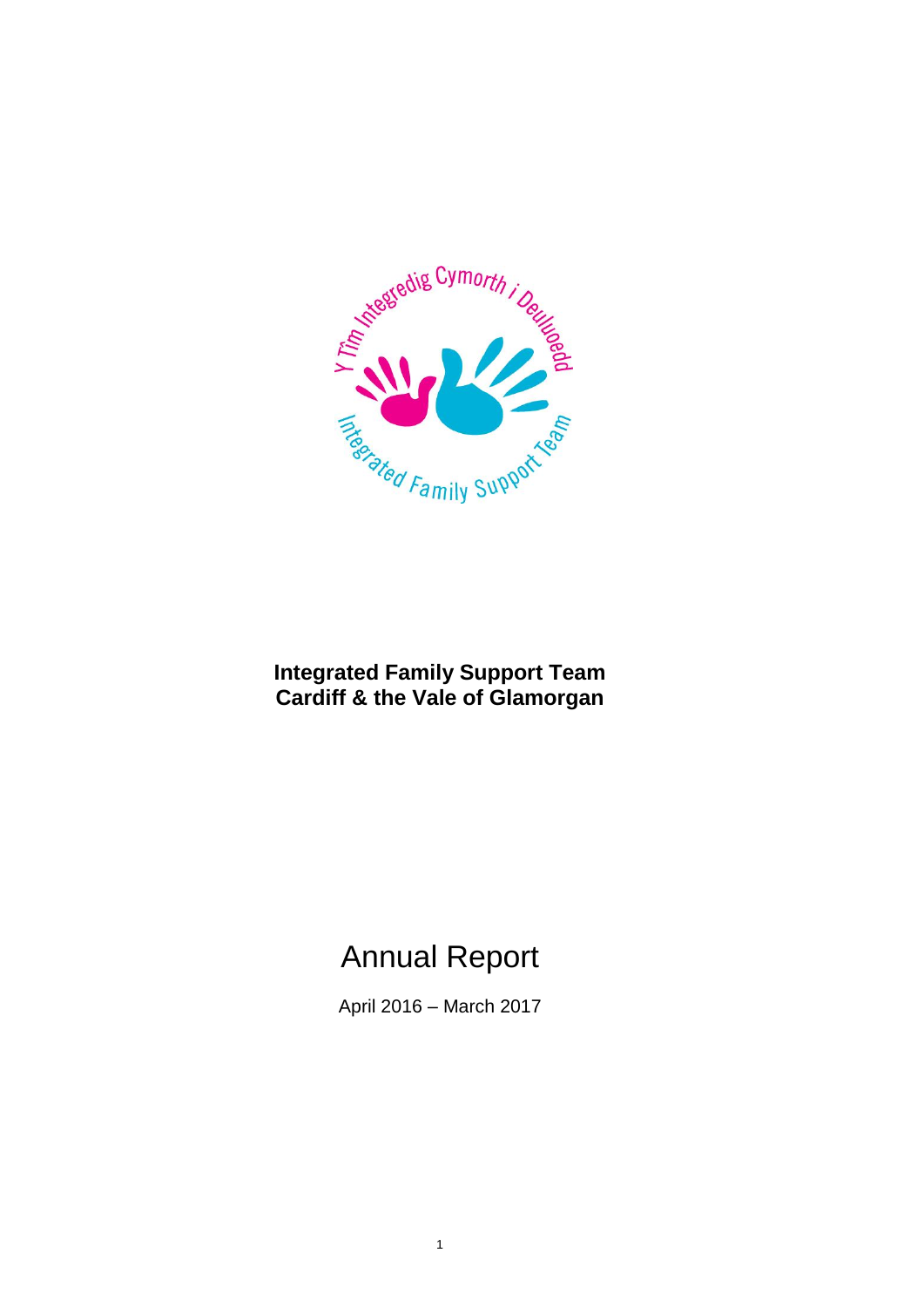

## **Integrated Family Support Team Cardiff & the Vale of Glamorgan**

# Annual Report

April 2016 – March 2017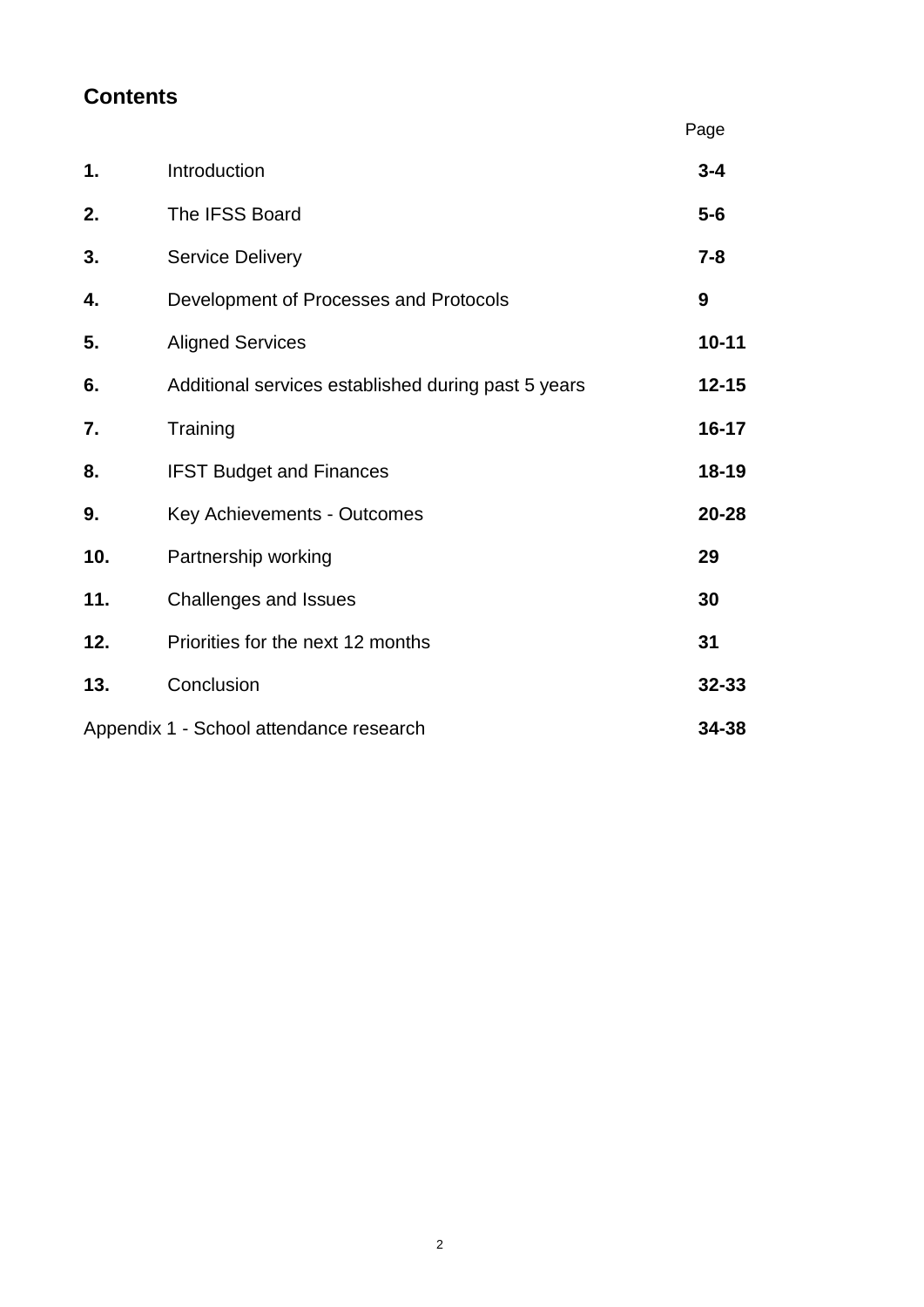## **Contents**

|     |                                                     | Page      |
|-----|-----------------------------------------------------|-----------|
| 1.  | Introduction                                        | $3 - 4$   |
| 2.  | The IFSS Board                                      | $5-6$     |
| 3.  | <b>Service Delivery</b>                             | $7 - 8$   |
| 4.  | Development of Processes and Protocols              | 9         |
| 5.  | <b>Aligned Services</b>                             | $10 - 11$ |
| 6.  | Additional services established during past 5 years | $12 - 15$ |
| 7.  | Training                                            | $16 - 17$ |
| 8.  | <b>IFST Budget and Finances</b>                     | $18 - 19$ |
| 9.  | Key Achievements - Outcomes                         | $20 - 28$ |
| 10. | Partnership working                                 | 29        |
| 11. | <b>Challenges and Issues</b>                        | 30        |
| 12. | Priorities for the next 12 months                   | 31        |
| 13. | Conclusion                                          | $32 - 33$ |
|     | Appendix 1 - School attendance research             | 34-38     |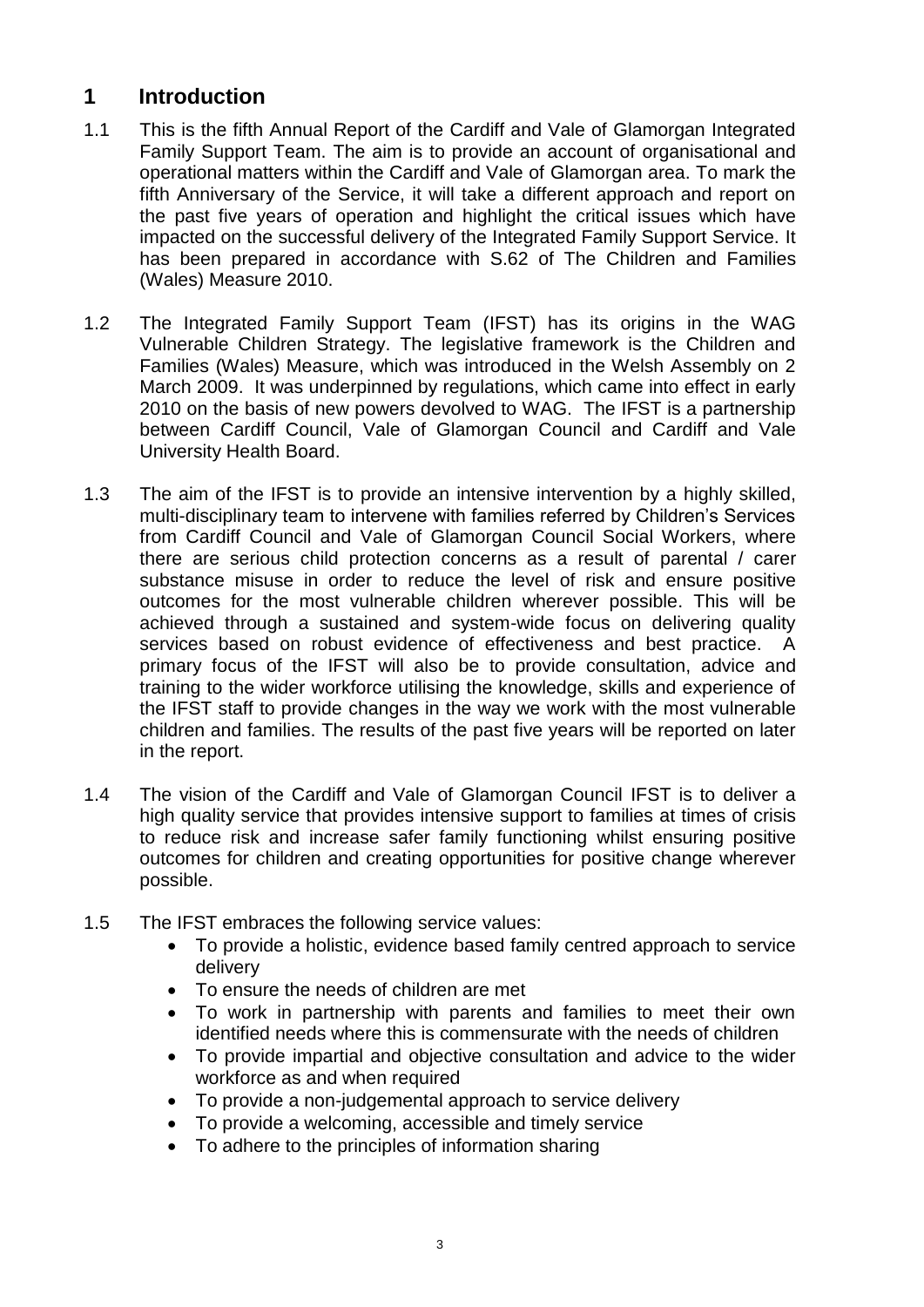## **1 Introduction**

- 1.1 This is the fifth Annual Report of the Cardiff and Vale of Glamorgan Integrated Family Support Team. The aim is to provide an account of organisational and operational matters within the Cardiff and Vale of Glamorgan area. To mark the fifth Anniversary of the Service, it will take a different approach and report on the past five years of operation and highlight the critical issues which have impacted on the successful delivery of the Integrated Family Support Service. It has been prepared in accordance with S.62 of The Children and Families (Wales) Measure 2010.
- 1.2 The Integrated Family Support Team (IFST) has its origins in the WAG Vulnerable Children Strategy. The legislative framework is the Children and Families (Wales) Measure, which was introduced in the Welsh Assembly on 2 March 2009. It was underpinned by regulations, which came into effect in early 2010 on the basis of new powers devolved to WAG. The IFST is a partnership between Cardiff Council, Vale of Glamorgan Council and Cardiff and Vale University Health Board.
- 1.3 The aim of the IFST is to provide an intensive intervention by a highly skilled, multi-disciplinary team to intervene with families referred by Children's Services from Cardiff Council and Vale of Glamorgan Council Social Workers, where there are serious child protection concerns as a result of parental / carer substance misuse in order to reduce the level of risk and ensure positive outcomes for the most vulnerable children wherever possible. This will be achieved through a sustained and system-wide focus on delivering quality services based on robust evidence of effectiveness and best practice. A primary focus of the IFST will also be to provide consultation, advice and training to the wider workforce utilising the knowledge, skills and experience of the IFST staff to provide changes in the way we work with the most vulnerable children and families. The results of the past five years will be reported on later in the report.
- 1.4 The vision of the Cardiff and Vale of Glamorgan Council IFST is to deliver a high quality service that provides intensive support to families at times of crisis to reduce risk and increase safer family functioning whilst ensuring positive outcomes for children and creating opportunities for positive change wherever possible.
- 1.5 The IFST embraces the following service values:
	- To provide a holistic, evidence based family centred approach to service delivery
	- To ensure the needs of children are met
	- To work in partnership with parents and families to meet their own identified needs where this is commensurate with the needs of children
	- To provide impartial and objective consultation and advice to the wider workforce as and when required
	- To provide a non-judgemental approach to service delivery
	- To provide a welcoming, accessible and timely service
	- To adhere to the principles of information sharing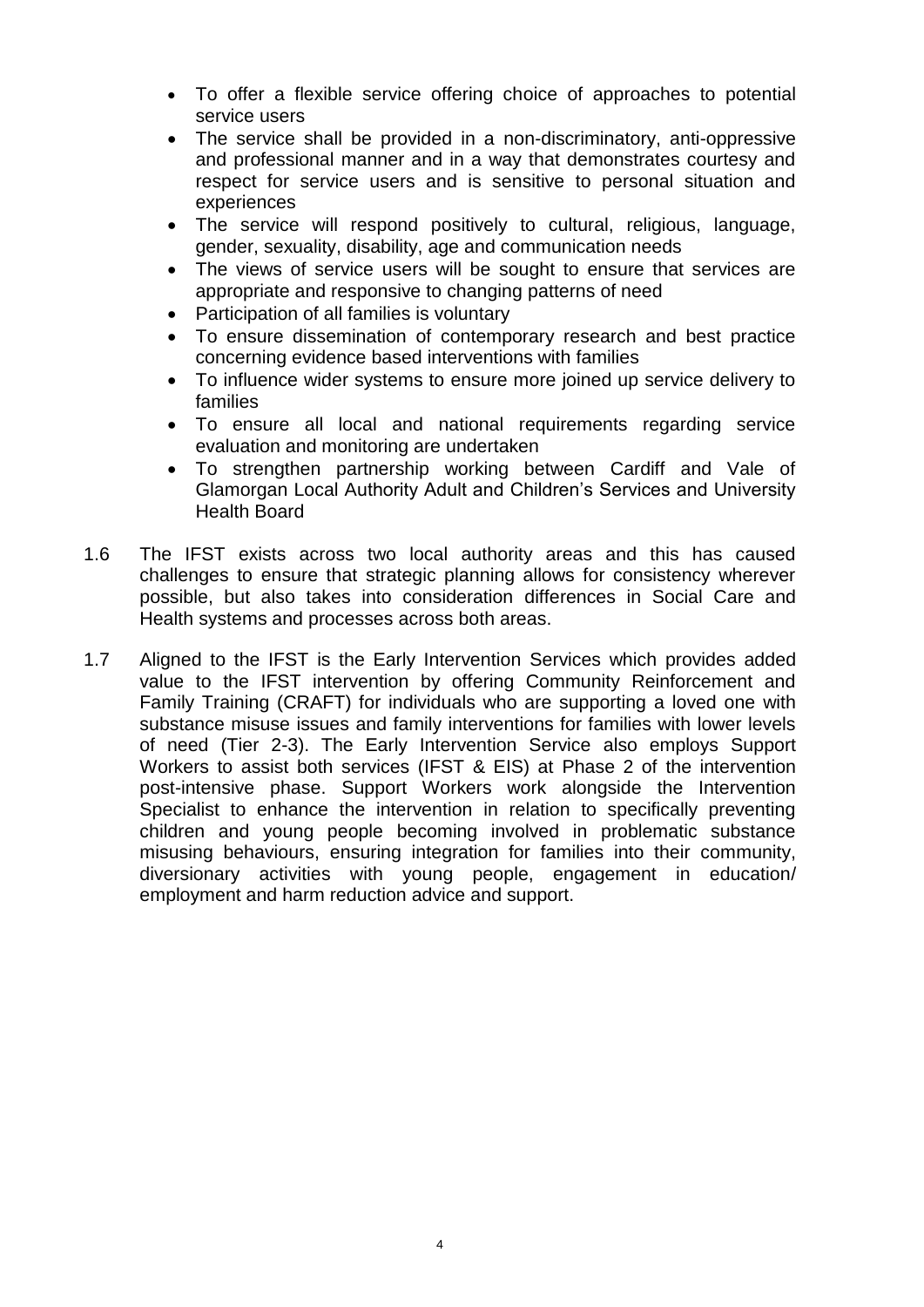- To offer a flexible service offering choice of approaches to potential service users
- The service shall be provided in a non-discriminatory, anti-oppressive and professional manner and in a way that demonstrates courtesy and respect for service users and is sensitive to personal situation and experiences
- The service will respond positively to cultural, religious, language, gender, sexuality, disability, age and communication needs
- The views of service users will be sought to ensure that services are appropriate and responsive to changing patterns of need
- Participation of all families is voluntary
- To ensure dissemination of contemporary research and best practice concerning evidence based interventions with families
- To influence wider systems to ensure more joined up service delivery to families
- To ensure all local and national requirements regarding service evaluation and monitoring are undertaken
- To strengthen partnership working between Cardiff and Vale of Glamorgan Local Authority Adult and Children's Services and University Health Board
- 1.6 The IFST exists across two local authority areas and this has caused challenges to ensure that strategic planning allows for consistency wherever possible, but also takes into consideration differences in Social Care and Health systems and processes across both areas.
- 1.7 Aligned to the IFST is the Early Intervention Services which provides added value to the IFST intervention by offering Community Reinforcement and Family Training (CRAFT) for individuals who are supporting a loved one with substance misuse issues and family interventions for families with lower levels of need (Tier 2-3). The Early Intervention Service also employs Support Workers to assist both services (IFST & EIS) at Phase 2 of the intervention post-intensive phase. Support Workers work alongside the Intervention Specialist to enhance the intervention in relation to specifically preventing children and young people becoming involved in problematic substance misusing behaviours, ensuring integration for families into their community, diversionary activities with young people, engagement in education/ employment and harm reduction advice and support.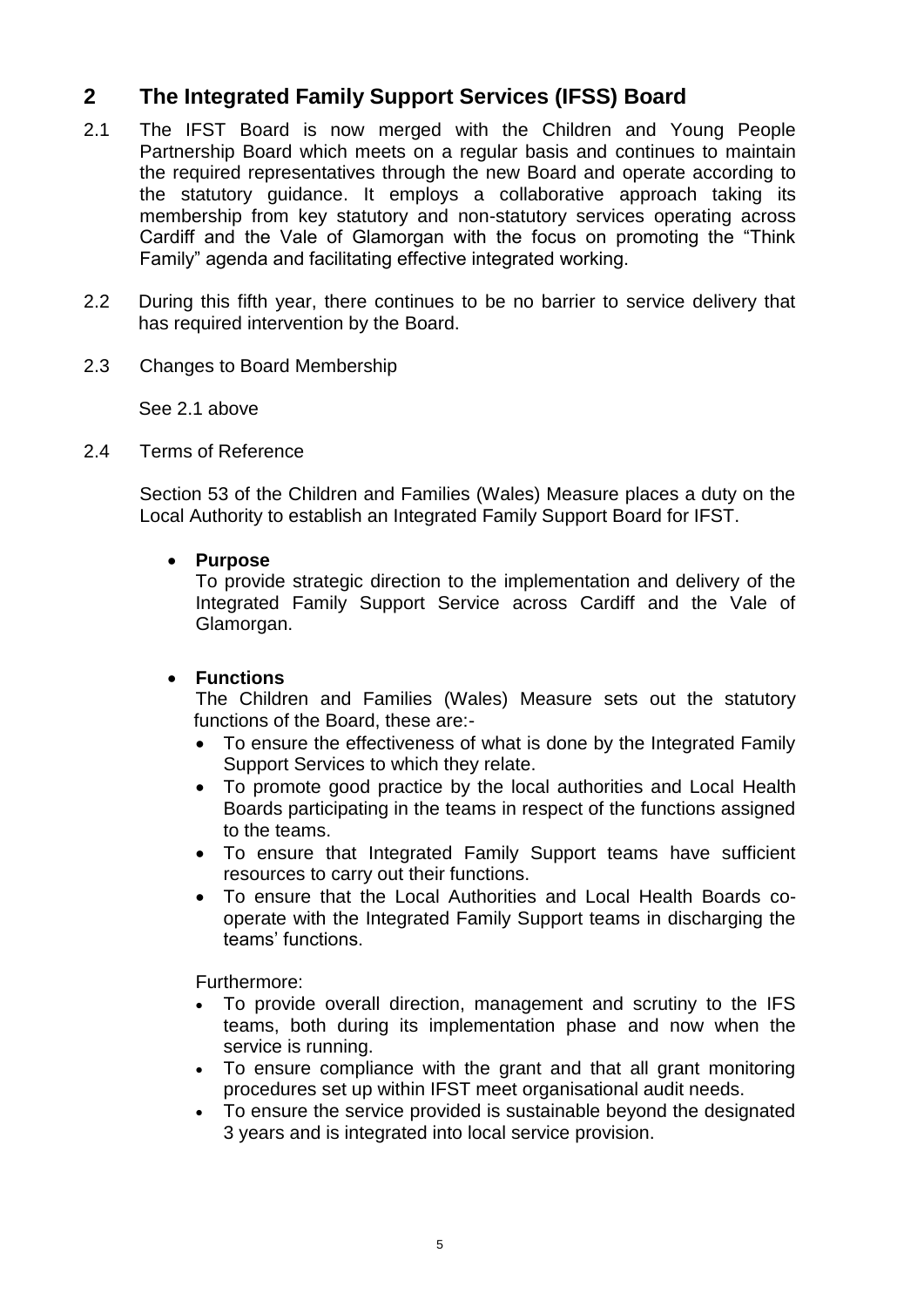## **2 The Integrated Family Support Services (IFSS) Board**

- 2.1 The IFST Board is now merged with the Children and Young People Partnership Board which meets on a regular basis and continues to maintain the required representatives through the new Board and operate according to the statutory guidance. It employs a collaborative approach taking its membership from key statutory and non-statutory services operating across Cardiff and the Vale of Glamorgan with the focus on promoting the "Think Family" agenda and facilitating effective integrated working.
- 2.2 During this fifth year, there continues to be no barrier to service delivery that has required intervention by the Board.
- 2.3 Changes to Board Membership

See 2.1 above

2.4 Terms of Reference

Section 53 of the Children and Families (Wales) Measure places a duty on the Local Authority to establish an Integrated Family Support Board for IFST.

**Purpose**

To provide strategic direction to the implementation and delivery of the Integrated Family Support Service across Cardiff and the Vale of Glamorgan.

### **Functions**

The Children and Families (Wales) Measure sets out the statutory functions of the Board, these are:-

- To ensure the effectiveness of what is done by the Integrated Family Support Services to which they relate.
- To promote good practice by the local authorities and Local Health Boards participating in the teams in respect of the functions assigned to the teams.
- To ensure that Integrated Family Support teams have sufficient resources to carry out their functions.
- To ensure that the Local Authorities and Local Health Boards cooperate with the Integrated Family Support teams in discharging the teams' functions.

Furthermore:

- To provide overall direction, management and scrutiny to the IFS teams, both during its implementation phase and now when the service is running.
- To ensure compliance with the grant and that all grant monitoring procedures set up within IFST meet organisational audit needs.
- To ensure the service provided is sustainable beyond the designated 3 years and is integrated into local service provision.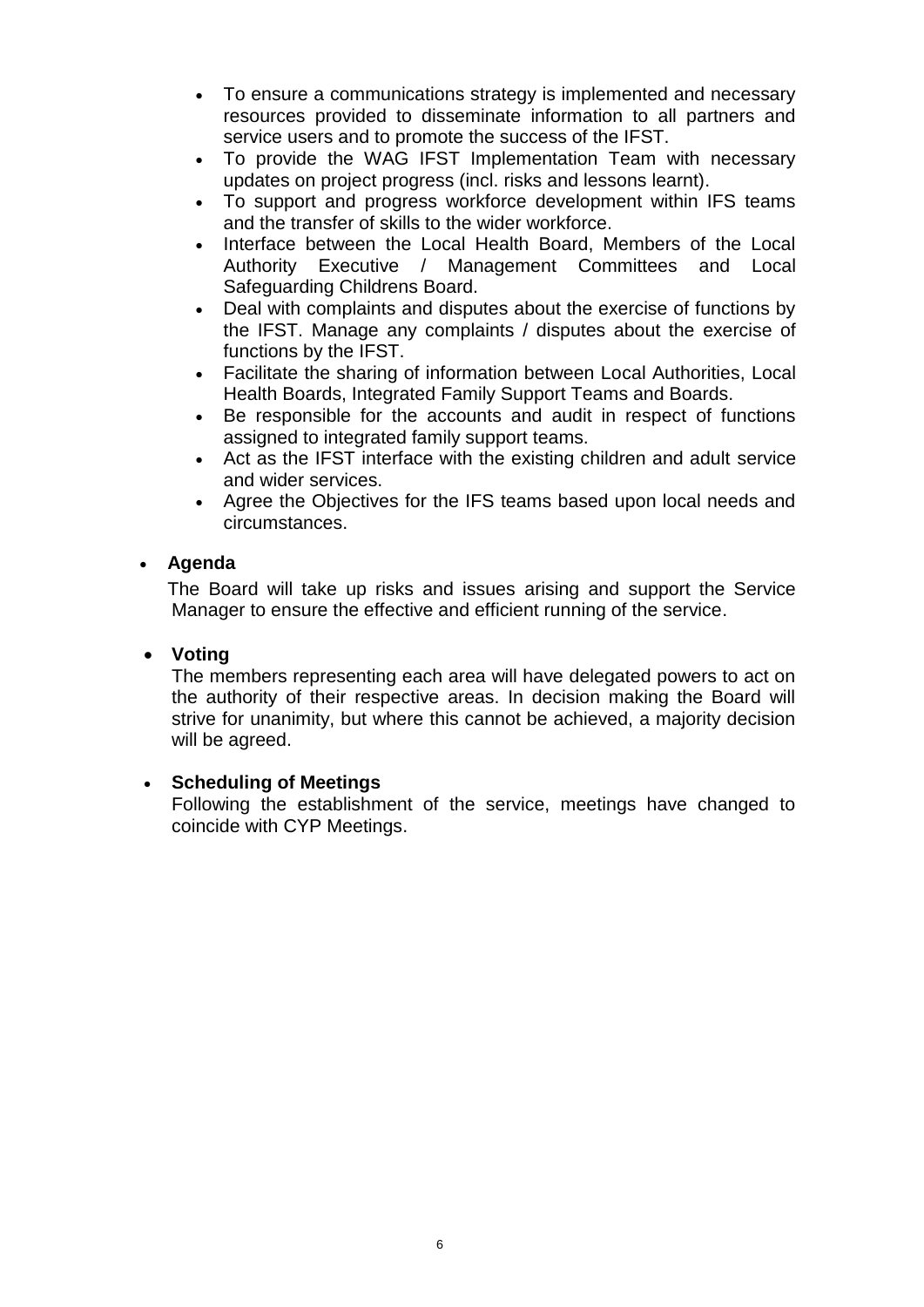- To ensure a communications strategy is implemented and necessary resources provided to disseminate information to all partners and service users and to promote the success of the IFST.
- To provide the WAG IFST Implementation Team with necessary updates on project progress (incl. risks and lessons learnt).
- To support and progress workforce development within IFS teams and the transfer of skills to the wider workforce.
- Interface between the Local Health Board, Members of the Local Authority Executive / Management Committees and Local Safeguarding Childrens Board.
- Deal with complaints and disputes about the exercise of functions by the IFST. Manage any complaints / disputes about the exercise of functions by the IFST.
- Facilitate the sharing of information between Local Authorities, Local Health Boards, Integrated Family Support Teams and Boards.
- Be responsible for the accounts and audit in respect of functions assigned to integrated family support teams.
- Act as the IFST interface with the existing children and adult service and wider services.
- Agree the Objectives for the IFS teams based upon local needs and circumstances.

### **Agenda**

The Board will take up risks and issues arising and support the Service Manager to ensure the effective and efficient running of the service.

### **Voting**

The members representing each area will have delegated powers to act on the authority of their respective areas. In decision making the Board will strive for unanimity, but where this cannot be achieved, a majority decision will be agreed.

### **Scheduling of Meetings**

Following the establishment of the service, meetings have changed to coincide with CYP Meetings.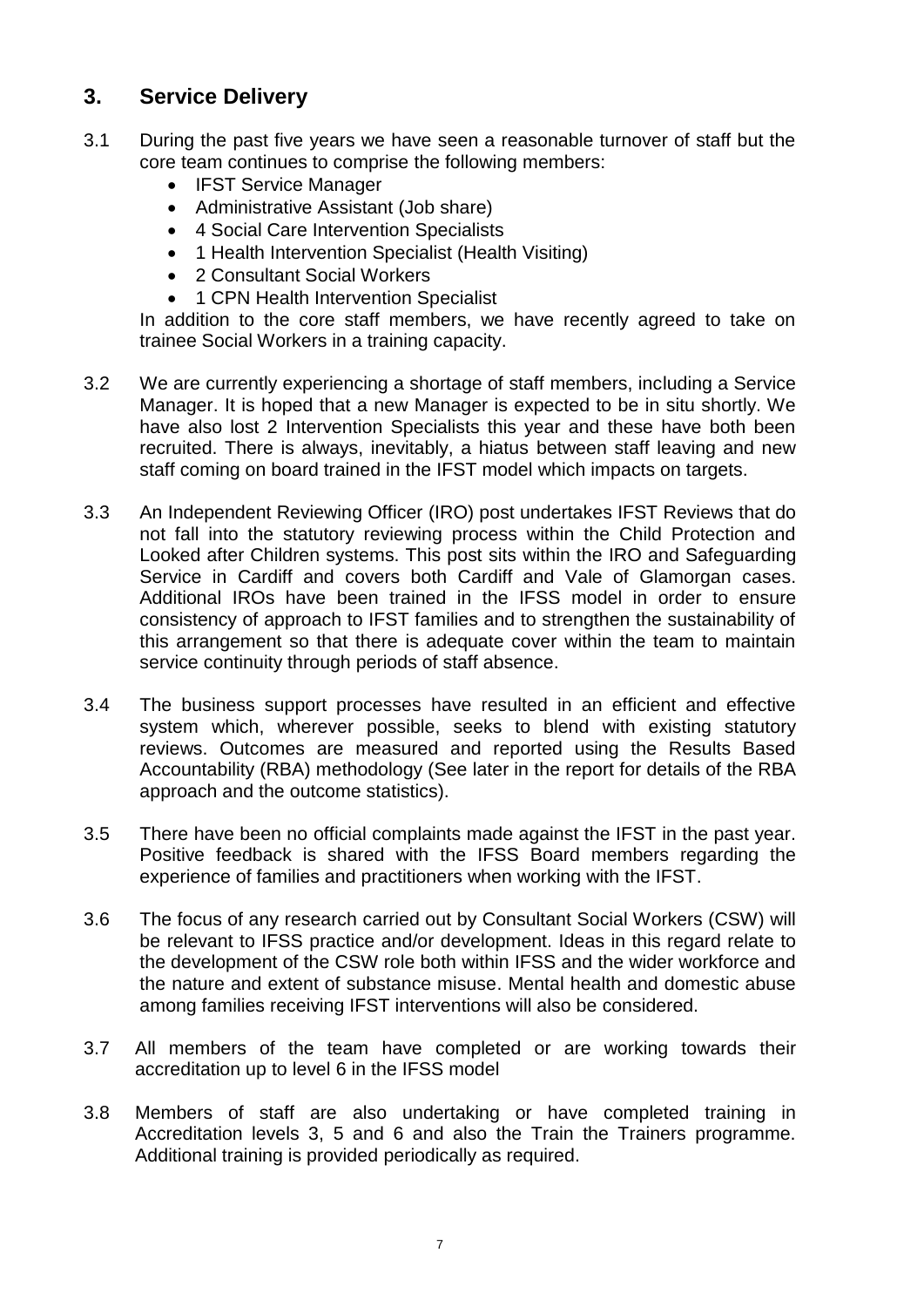## **3. Service Delivery**

- 3.1 During the past five years we have seen a reasonable turnover of staff but the core team continues to comprise the following members:
	- IFST Service Manager
	- Administrative Assistant (Job share)
	- 4 Social Care Intervention Specialists
	- 1 Health Intervention Specialist (Health Visiting)
	- 2 Consultant Social Workers
	- 1 CPN Health Intervention Specialist

In addition to the core staff members, we have recently agreed to take on trainee Social Workers in a training capacity.

- 3.2 We are currently experiencing a shortage of staff members, including a Service Manager. It is hoped that a new Manager is expected to be in situ shortly. We have also lost 2 Intervention Specialists this year and these have both been recruited. There is always, inevitably, a hiatus between staff leaving and new staff coming on board trained in the IFST model which impacts on targets.
- 3.3 An Independent Reviewing Officer (IRO) post undertakes IFST Reviews that do not fall into the statutory reviewing process within the Child Protection and Looked after Children systems. This post sits within the IRO and Safeguarding Service in Cardiff and covers both Cardiff and Vale of Glamorgan cases. Additional IROs have been trained in the IFSS model in order to ensure consistency of approach to IFST families and to strengthen the sustainability of this arrangement so that there is adequate cover within the team to maintain service continuity through periods of staff absence.
- 3.4 The business support processes have resulted in an efficient and effective system which, wherever possible, seeks to blend with existing statutory reviews. Outcomes are measured and reported using the Results Based Accountability (RBA) methodology (See later in the report for details of the RBA approach and the outcome statistics).
- 3.5 There have been no official complaints made against the IFST in the past year. Positive feedback is shared with the IFSS Board members regarding the experience of families and practitioners when working with the IFST.
- 3.6 The focus of any research carried out by Consultant Social Workers (CSW) will be relevant to IFSS practice and/or development. Ideas in this regard relate to the development of the CSW role both within IFSS and the wider workforce and the nature and extent of substance misuse. Mental health and domestic abuse among families receiving IFST interventions will also be considered.
- 3.7 All members of the team have completed or are working towards their accreditation up to level 6 in the IFSS model
- 3.8 Members of staff are also undertaking or have completed training in Accreditation levels 3, 5 and 6 and also the Train the Trainers programme. Additional training is provided periodically as required.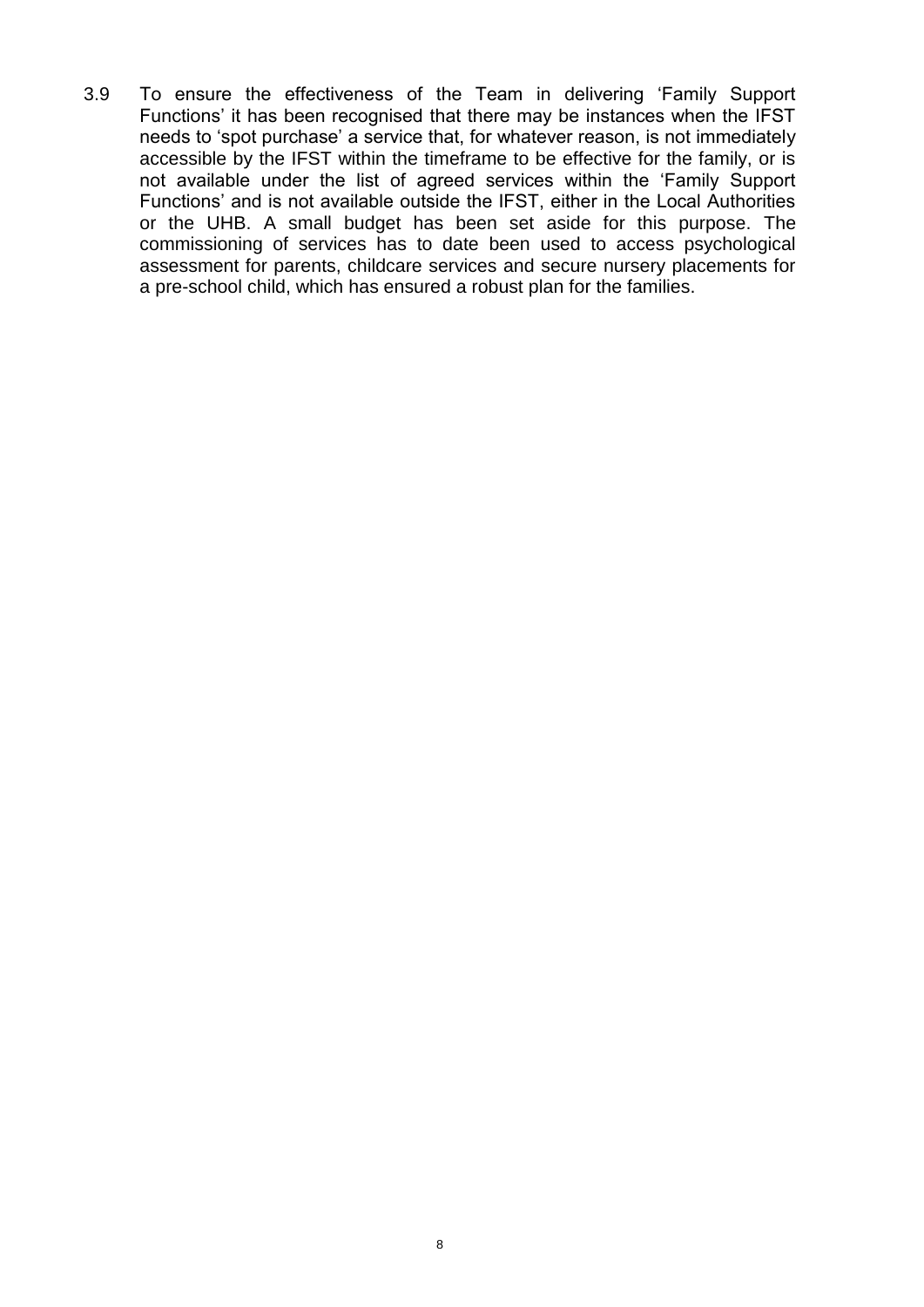3.9 To ensure the effectiveness of the Team in delivering 'Family Support Functions' it has been recognised that there may be instances when the IFST needs to 'spot purchase' a service that, for whatever reason, is not immediately accessible by the IFST within the timeframe to be effective for the family, or is not available under the list of agreed services within the 'Family Support Functions' and is not available outside the IFST, either in the Local Authorities or the UHB. A small budget has been set aside for this purpose. The commissioning of services has to date been used to access psychological assessment for parents, childcare services and secure nursery placements for a pre-school child, which has ensured a robust plan for the families.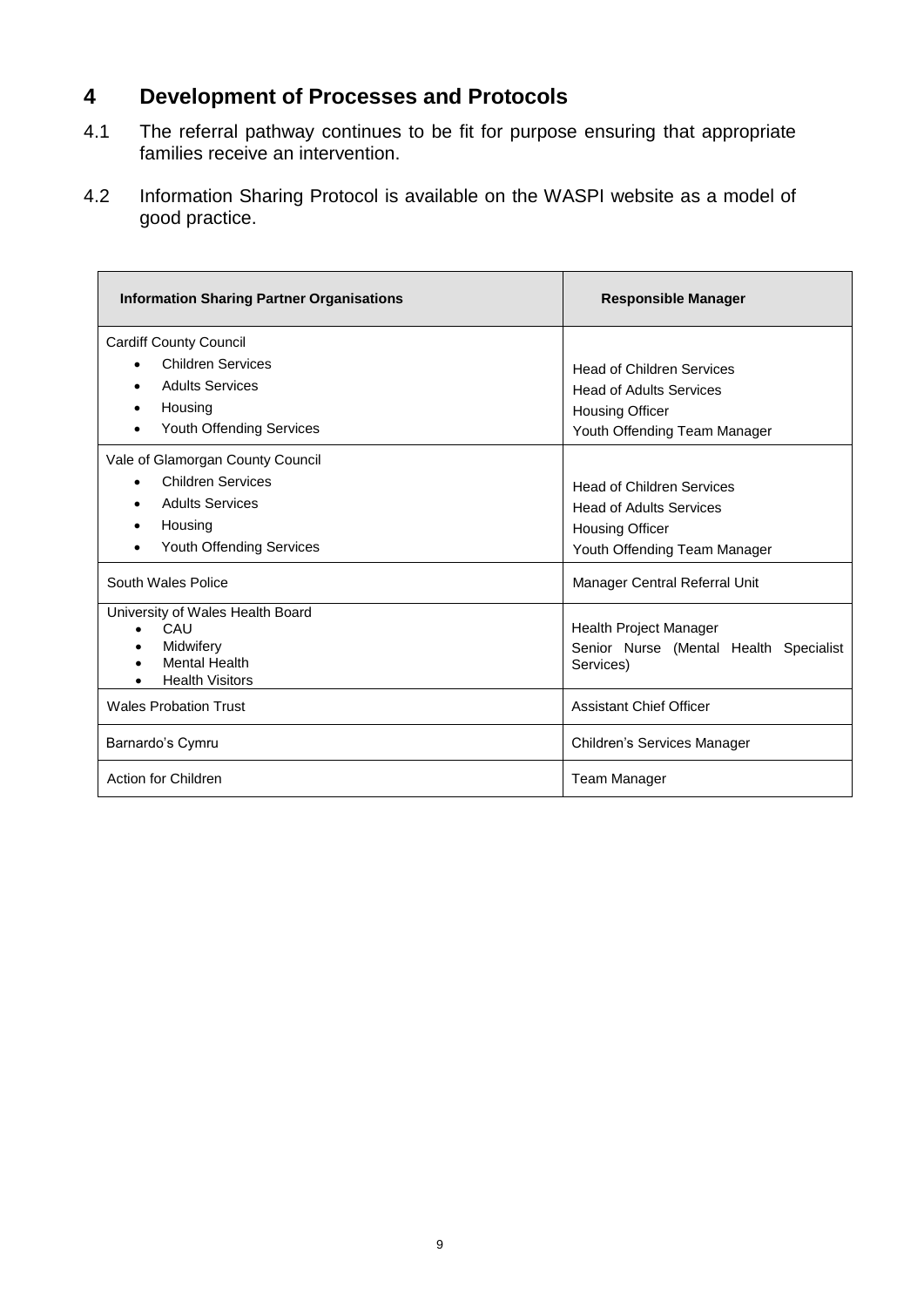## **4 Development of Processes and Protocols**

- 4.1 The referral pathway continues to be fit for purpose ensuring that appropriate families receive an intervention.
- 4.2 Information Sharing Protocol is available on the WASPI website as a model of good practice.

| <b>Information Sharing Partner Organisations</b>                                                                                                        | <b>Responsible Manager</b>                                                                                                   |  |  |
|---------------------------------------------------------------------------------------------------------------------------------------------------------|------------------------------------------------------------------------------------------------------------------------------|--|--|
| <b>Cardiff County Council</b><br><b>Children Services</b><br>$\bullet$<br><b>Adults Services</b><br>Housing<br>Youth Offending Services                 | <b>Head of Children Services</b><br><b>Head of Adults Services</b><br><b>Housing Officer</b><br>Youth Offending Team Manager |  |  |
| Vale of Glamorgan County Council<br><b>Children Services</b><br>$\bullet$<br><b>Adults Services</b><br>$\bullet$<br>Housing<br>Youth Offending Services | <b>Head of Children Services</b><br><b>Head of Adults Services</b><br><b>Housing Officer</b><br>Youth Offending Team Manager |  |  |
| South Wales Police<br>University of Wales Health Board<br>CAU<br>$\bullet$<br>Midwifery<br><b>Mental Health</b><br><b>Health Visitors</b>               | Manager Central Referral Unit<br>Health Project Manager<br>Senior Nurse (Mental Health Specialist<br>Services)               |  |  |
| <b>Wales Probation Trust</b>                                                                                                                            | <b>Assistant Chief Officer</b>                                                                                               |  |  |
| Barnardo's Cymru                                                                                                                                        | Children's Services Manager                                                                                                  |  |  |
| Action for Children                                                                                                                                     | <b>Team Manager</b>                                                                                                          |  |  |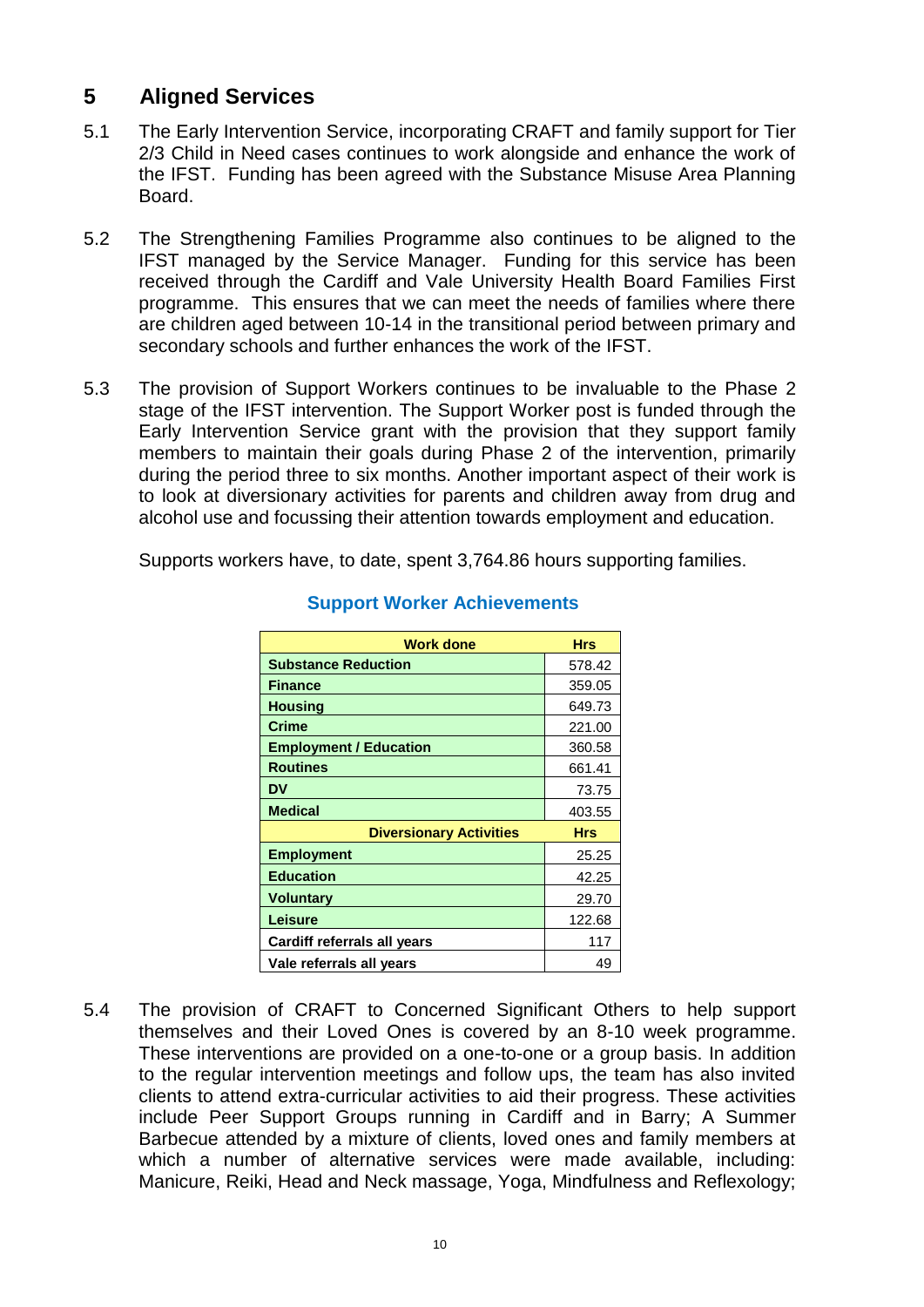## **5 Aligned Services**

- 5.1 The Early Intervention Service, incorporating CRAFT and family support for Tier 2/3 Child in Need cases continues to work alongside and enhance the work of the IFST. Funding has been agreed with the Substance Misuse Area Planning Board.
- 5.2 The Strengthening Families Programme also continues to be aligned to the IFST managed by the Service Manager. Funding for this service has been received through the Cardiff and Vale University Health Board Families First programme. This ensures that we can meet the needs of families where there are children aged between 10-14 in the transitional period between primary and secondary schools and further enhances the work of the IFST.
- 5.3 The provision of Support Workers continues to be invaluable to the Phase 2 stage of the IFST intervention. The Support Worker post is funded through the Early Intervention Service grant with the provision that they support family members to maintain their goals during Phase 2 of the intervention, primarily during the period three to six months. Another important aspect of their work is to look at diversionary activities for parents and children away from drug and alcohol use and focussing their attention towards employment and education.

Supports workers have, to date, spent 3,764.86 hours supporting families.

| <b>Work done</b>               | <b>Hrs</b> |
|--------------------------------|------------|
| <b>Substance Reduction</b>     | 578.42     |
| <b>Finance</b>                 | 359.05     |
| <b>Housing</b>                 | 649.73     |
| Crime                          | 221.00     |
| <b>Employment / Education</b>  | 360.58     |
| <b>Routines</b>                | 661.41     |
| DV                             | 73.75      |
| <b>Medical</b>                 | 403.55     |
| <b>Diversionary Activities</b> | <b>Hrs</b> |
| <b>Employment</b>              | 25.25      |
| <b>Education</b>               | 42.25      |
| <b>Voluntary</b>               | 29.70      |
| Leisure                        | 122.68     |
| Cardiff referrals all years    | 117        |
| Vale referrals all years       | 49         |

### **Support Worker Achievements**

5.4 The provision of CRAFT to Concerned Significant Others to help support themselves and their Loved Ones is covered by an 8-10 week programme. These interventions are provided on a one-to-one or a group basis. In addition to the regular intervention meetings and follow ups, the team has also invited clients to attend extra-curricular activities to aid their progress. These activities include Peer Support Groups running in Cardiff and in Barry; A Summer Barbecue attended by a mixture of clients, loved ones and family members at which a number of alternative services were made available, including: Manicure, Reiki, Head and Neck massage, Yoga, Mindfulness and Reflexology;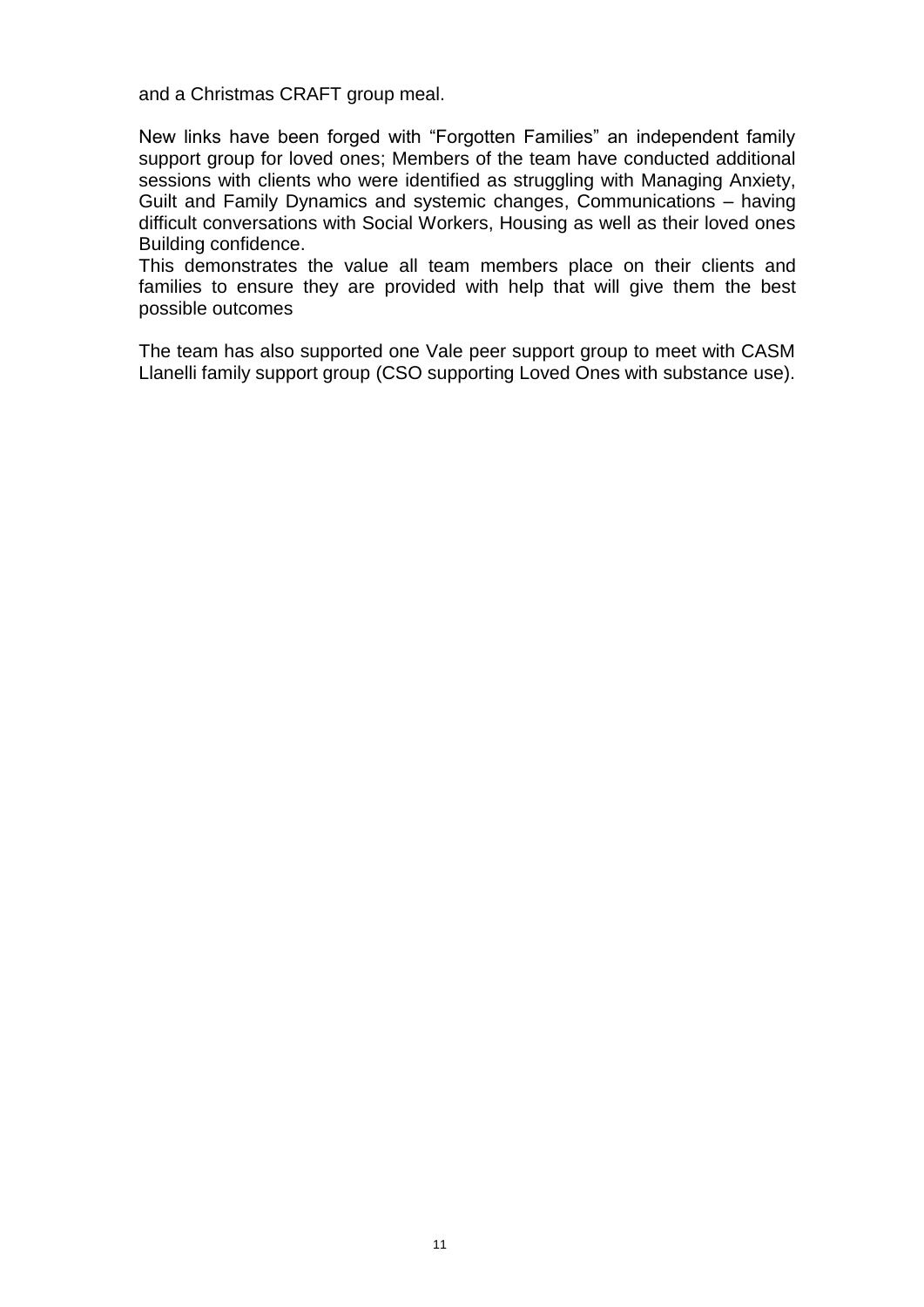and a Christmas CRAFT group meal.

New links have been forged with "Forgotten Families" an independent family support group for loved ones; Members of the team have conducted additional sessions with clients who were identified as struggling with Managing Anxiety, Guilt and Family Dynamics and systemic changes, Communications – having difficult conversations with Social Workers, Housing as well as their loved ones Building confidence.

This demonstrates the value all team members place on their clients and families to ensure they are provided with help that will give them the best possible outcomes

The team has also supported one Vale peer support group to meet with CASM Llanelli family support group (CSO supporting Loved Ones with substance use).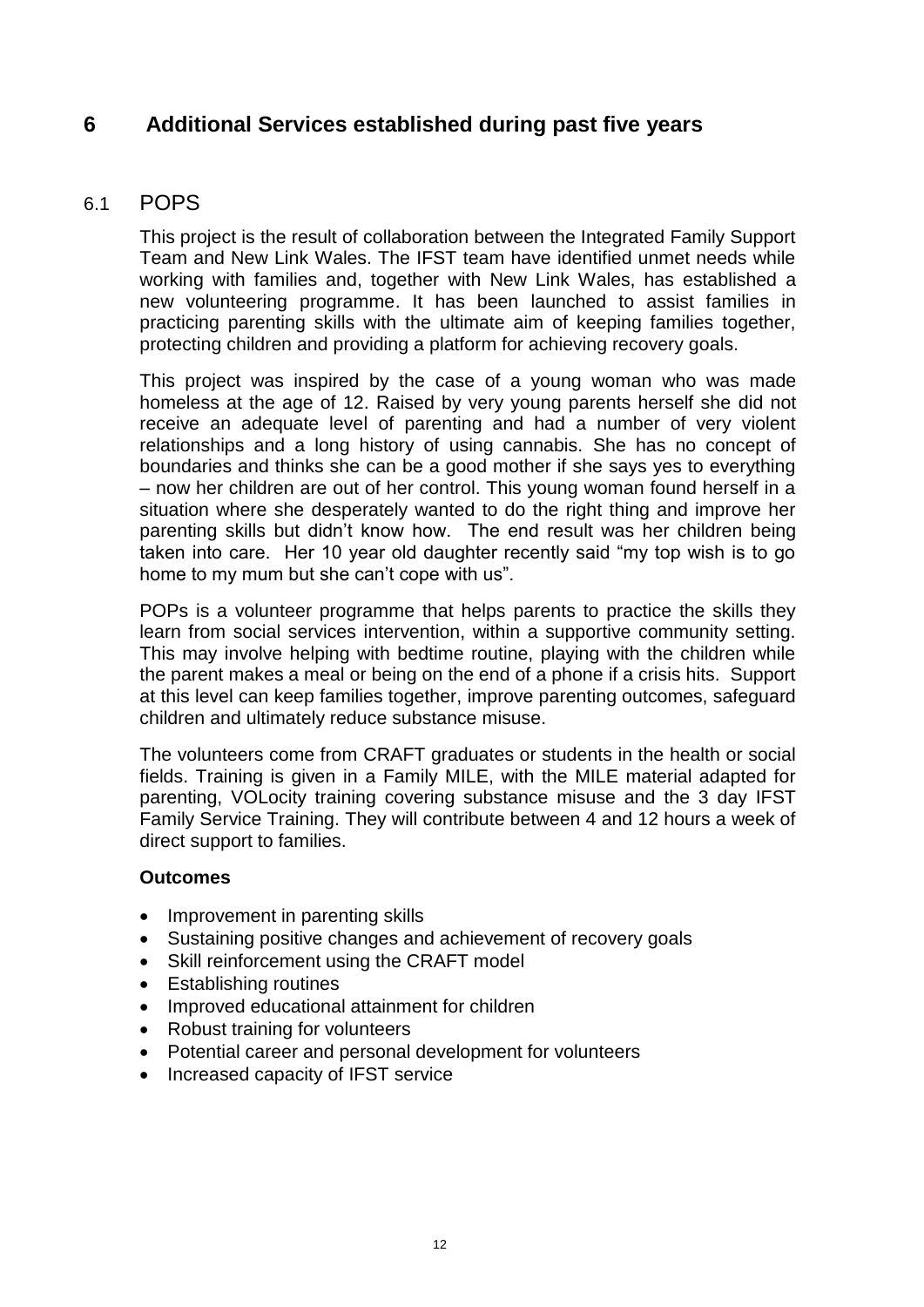## **6 Additional Services established during past five years**

### 6.1 POPS

This project is the result of collaboration between the Integrated Family Support Team and New Link Wales. The IFST team have identified unmet needs while working with families and, together with New Link Wales, has established a new volunteering programme. It has been launched to assist families in practicing parenting skills with the ultimate aim of keeping families together, protecting children and providing a platform for achieving recovery goals.

This project was inspired by the case of a young woman who was made homeless at the age of 12. Raised by very young parents herself she did not receive an adequate level of parenting and had a number of very violent relationships and a long history of using cannabis. She has no concept of boundaries and thinks she can be a good mother if she says yes to everything – now her children are out of her control. This young woman found herself in a situation where she desperately wanted to do the right thing and improve her parenting skills but didn't know how. The end result was her children being taken into care. Her 10 year old daughter recently said "my top wish is to go home to my mum but she can't cope with us".

POPs is a volunteer programme that helps parents to practice the skills they learn from social services intervention, within a supportive community setting. This may involve helping with bedtime routine, playing with the children while the parent makes a meal or being on the end of a phone if a crisis hits. Support at this level can keep families together, improve parenting outcomes, safeguard children and ultimately reduce substance misuse.

The volunteers come from CRAFT graduates or students in the health or social fields. Training is given in a Family MILE, with the MILE material adapted for parenting, VOLocity training covering substance misuse and the 3 day IFST Family Service Training. They will contribute between 4 and 12 hours a week of direct support to families.

### **Outcomes**

- Improvement in parenting skills
- Sustaining positive changes and achievement of recovery goals
- Skill reinforcement using the CRAFT model
- Establishing routines
- Improved educational attainment for children
- Robust training for volunteers
- Potential career and personal development for volunteers
- Increased capacity of IFST service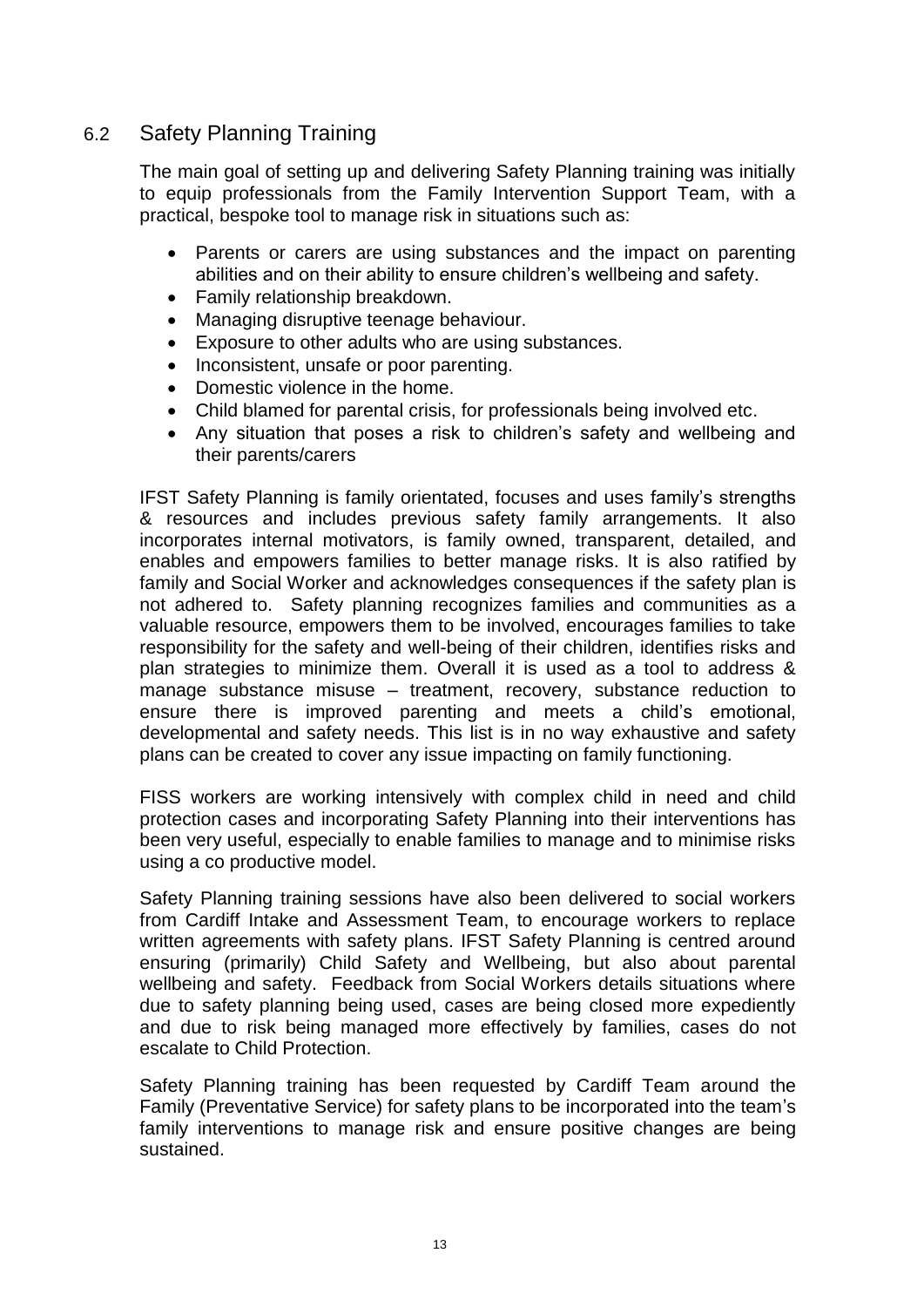## 6.2 Safety Planning Training

The main goal of setting up and delivering Safety Planning training was initially to equip professionals from the Family Intervention Support Team, with a practical, bespoke tool to manage risk in situations such as:

- Parents or carers are using substances and the impact on parenting abilities and on their ability to ensure children's wellbeing and safety.
- Family relationship breakdown.
- Managing disruptive teenage behaviour.
- Exposure to other adults who are using substances.
- Inconsistent, unsafe or poor parenting.
- Domestic violence in the home.
- Child blamed for parental crisis, for professionals being involved etc.
- Any situation that poses a risk to children's safety and wellbeing and their parents/carers

IFST Safety Planning is family orientated, focuses and uses family's strengths & resources and includes previous safety family arrangements. It also incorporates internal motivators, is family owned, transparent, detailed, and enables and empowers families to better manage risks. It is also ratified by family and Social Worker and acknowledges consequences if the safety plan is not adhered to. Safety planning recognizes families and communities as a valuable resource, empowers them to be involved, encourages families to take responsibility for the safety and well-being of their children, identifies risks and plan strategies to minimize them. Overall it is used as a tool to address & manage substance misuse – treatment, recovery, substance reduction to ensure there is improved parenting and meets a child's emotional, developmental and safety needs. This list is in no way exhaustive and safety plans can be created to cover any issue impacting on family functioning.

FISS workers are working intensively with complex child in need and child protection cases and incorporating Safety Planning into their interventions has been very useful, especially to enable families to manage and to minimise risks using a co productive model.

Safety Planning training sessions have also been delivered to social workers from Cardiff Intake and Assessment Team, to encourage workers to replace written agreements with safety plans. IFST Safety Planning is centred around ensuring (primarily) Child Safety and Wellbeing, but also about parental wellbeing and safety. Feedback from Social Workers details situations where due to safety planning being used, cases are being closed more expediently and due to risk being managed more effectively by families, cases do not escalate to Child Protection.

Safety Planning training has been requested by Cardiff Team around the Family (Preventative Service) for safety plans to be incorporated into the team's family interventions to manage risk and ensure positive changes are being sustained.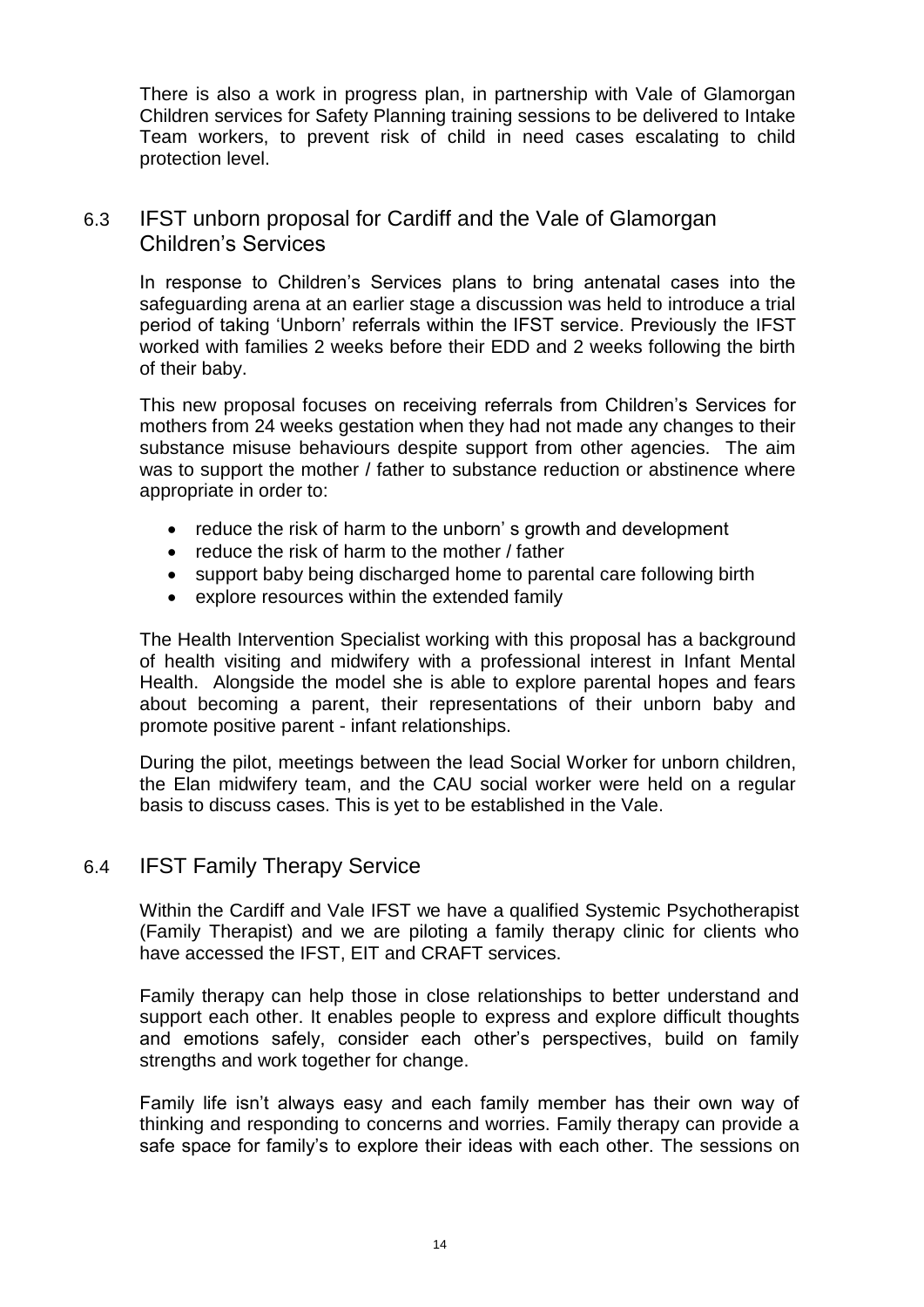There is also a work in progress plan, in partnership with Vale of Glamorgan Children services for Safety Planning training sessions to be delivered to Intake Team workers, to prevent risk of child in need cases escalating to child protection level.

## 6.3 IFST unborn proposal for Cardiff and the Vale of Glamorgan Children's Services

In response to Children's Services plans to bring antenatal cases into the safeguarding arena at an earlier stage a discussion was held to introduce a trial period of taking 'Unborn' referrals within the IFST service. Previously the IFST worked with families 2 weeks before their EDD and 2 weeks following the birth of their baby.

This new proposal focuses on receiving referrals from Children's Services for mothers from 24 weeks gestation when they had not made any changes to their substance misuse behaviours despite support from other agencies. The aim was to support the mother / father to substance reduction or abstinence where appropriate in order to:

- reduce the risk of harm to the unborn's growth and development
- reduce the risk of harm to the mother / father
- support baby being discharged home to parental care following birth
- explore resources within the extended family

The Health Intervention Specialist working with this proposal has a background of health visiting and midwifery with a professional interest in Infant Mental Health. Alongside the model she is able to explore parental hopes and fears about becoming a parent, their representations of their unborn baby and promote positive parent - infant relationships.

During the pilot, meetings between the lead Social Worker for unborn children, the Elan midwifery team, and the CAU social worker were held on a regular basis to discuss cases. This is yet to be established in the Vale.

## 6.4 IFST Family Therapy Service

Within the Cardiff and Vale IFST we have a qualified Systemic Psychotherapist (Family Therapist) and we are piloting a family therapy clinic for clients who have accessed the IFST, EIT and CRAFT services.

Family therapy can help those in close relationships to better understand and support each other. It enables people to express and explore difficult thoughts and emotions safely, consider each other's perspectives, build on family strengths and work together for change.

Family life isn't always easy and each family member has their own way of thinking and responding to concerns and worries. Family therapy can provide a safe space for family's to explore their ideas with each other. The sessions on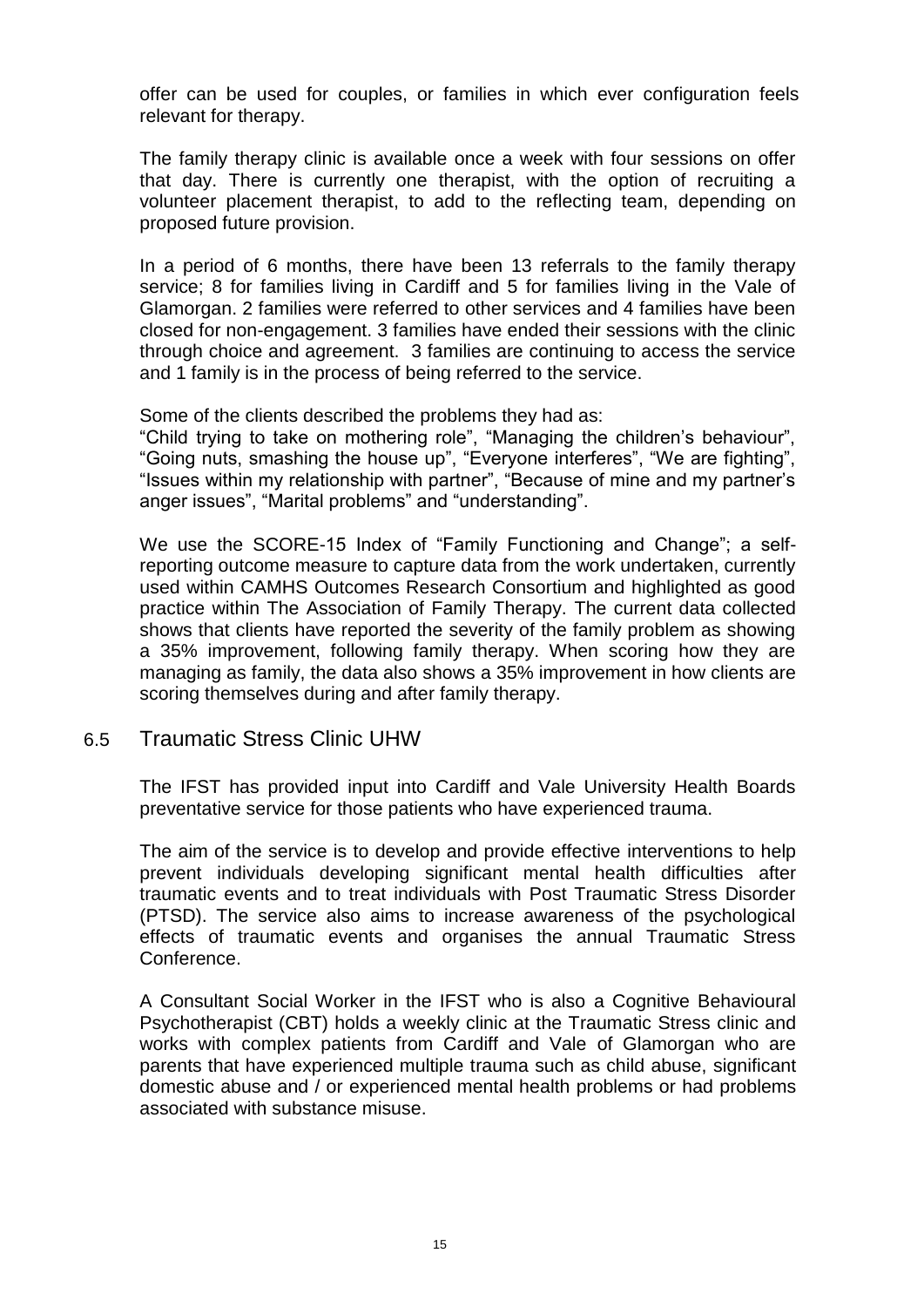offer can be used for couples, or families in which ever configuration feels relevant for therapy.

The family therapy clinic is available once a week with four sessions on offer that day. There is currently one therapist, with the option of recruiting a volunteer placement therapist, to add to the reflecting team, depending on proposed future provision.

In a period of 6 months, there have been 13 referrals to the family therapy service; 8 for families living in Cardiff and 5 for families living in the Vale of Glamorgan. 2 families were referred to other services and 4 families have been closed for non-engagement. 3 families have ended their sessions with the clinic through choice and agreement. 3 families are continuing to access the service and 1 family is in the process of being referred to the service.

Some of the clients described the problems they had as:

"Child trying to take on mothering role", "Managing the children's behaviour", "Going nuts, smashing the house up", "Everyone interferes", "We are fighting", "Issues within my relationship with partner", "Because of mine and my partner's anger issues", "Marital problems" and "understanding".

We use the SCORE-15 Index of "Family Functioning and Change"; a selfreporting outcome measure to capture data from the work undertaken, currently used within CAMHS Outcomes Research Consortium and highlighted as good practice within The Association of Family Therapy. The current data collected shows that clients have reported the severity of the family problem as showing a 35% improvement, following family therapy. When scoring how they are managing as family, the data also shows a 35% improvement in how clients are scoring themselves during and after family therapy.

### 6.5 Traumatic Stress Clinic UHW

The IFST has provided input into Cardiff and Vale University Health Boards preventative service for those patients who have experienced trauma.

The aim of the service is to develop and provide effective interventions to help prevent individuals developing significant mental health difficulties after traumatic events and to treat individuals with Post Traumatic Stress Disorder (PTSD). The service also aims to increase awareness of the psychological effects of traumatic events and organises the annual Traumatic Stress Conference.

A Consultant Social Worker in the IFST who is also a Cognitive Behavioural Psychotherapist (CBT) holds a weekly clinic at the Traumatic Stress clinic and works with complex patients from Cardiff and Vale of Glamorgan who are parents that have experienced multiple trauma such as child abuse, significant domestic abuse and / or experienced mental health problems or had problems associated with substance misuse.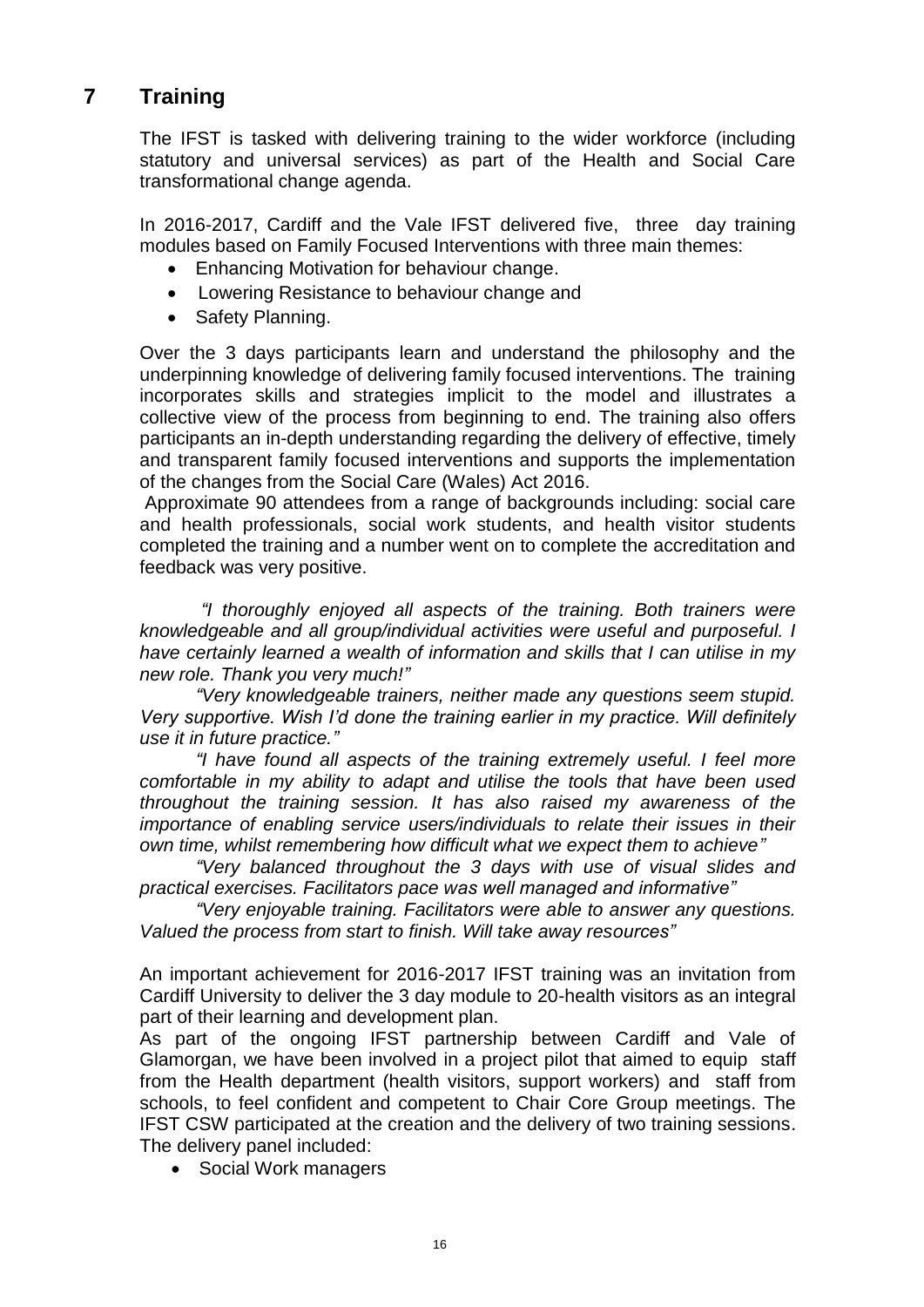## **7 Training**

The IFST is tasked with delivering training to the wider workforce (including statutory and universal services) as part of the Health and Social Care transformational change agenda.

In 2016-2017, Cardiff and the Vale IFST delivered five, three day training modules based on Family Focused Interventions with three main themes:

- Enhancing Motivation for behaviour change.
- Lowering Resistance to behaviour change and
- Safety Planning.

Over the 3 days participants learn and understand the philosophy and the underpinning knowledge of delivering family focused interventions. The training incorporates skills and strategies implicit to the model and illustrates a collective view of the process from beginning to end. The training also offers participants an in-depth understanding regarding the delivery of effective, timely and transparent family focused interventions and supports the implementation of the changes from the Social Care (Wales) Act 2016.

Approximate 90 attendees from a range of backgrounds including: social care and health professionals, social work students, and health visitor students completed the training and a number went on to complete the accreditation and feedback was very positive.

*"I thoroughly enjoyed all aspects of the training. Both trainers were knowledgeable and all group/individual activities were useful and purposeful. I have certainly learned a wealth of information and skills that I can utilise in my new role. Thank you very much!"*

*"Very knowledgeable trainers, neither made any questions seem stupid. Very supportive. Wish I'd done the training earlier in my practice. Will definitely use it in future practice."*

*"I have found all aspects of the training extremely useful. I feel more comfortable in my ability to adapt and utilise the tools that have been used throughout the training session. It has also raised my awareness of the importance of enabling service users/individuals to relate their issues in their own time, whilst remembering how difficult what we expect them to achieve"*

*"Very balanced throughout the 3 days with use of visual slides and practical exercises. Facilitators pace was well managed and informative"*

*"Very enjoyable training. Facilitators were able to answer any questions. Valued the process from start to finish. Will take away resources"*

An important achievement for 2016-2017 IFST training was an invitation from Cardiff University to deliver the 3 day module to 20-health visitors as an integral part of their learning and development plan.

As part of the ongoing IFST partnership between Cardiff and Vale of Glamorgan, we have been involved in a project pilot that aimed to equip staff from the Health department (health visitors, support workers) and staff from schools, to feel confident and competent to Chair Core Group meetings. The IFST CSW participated at the creation and the delivery of two training sessions. The delivery panel included:

• Social Work managers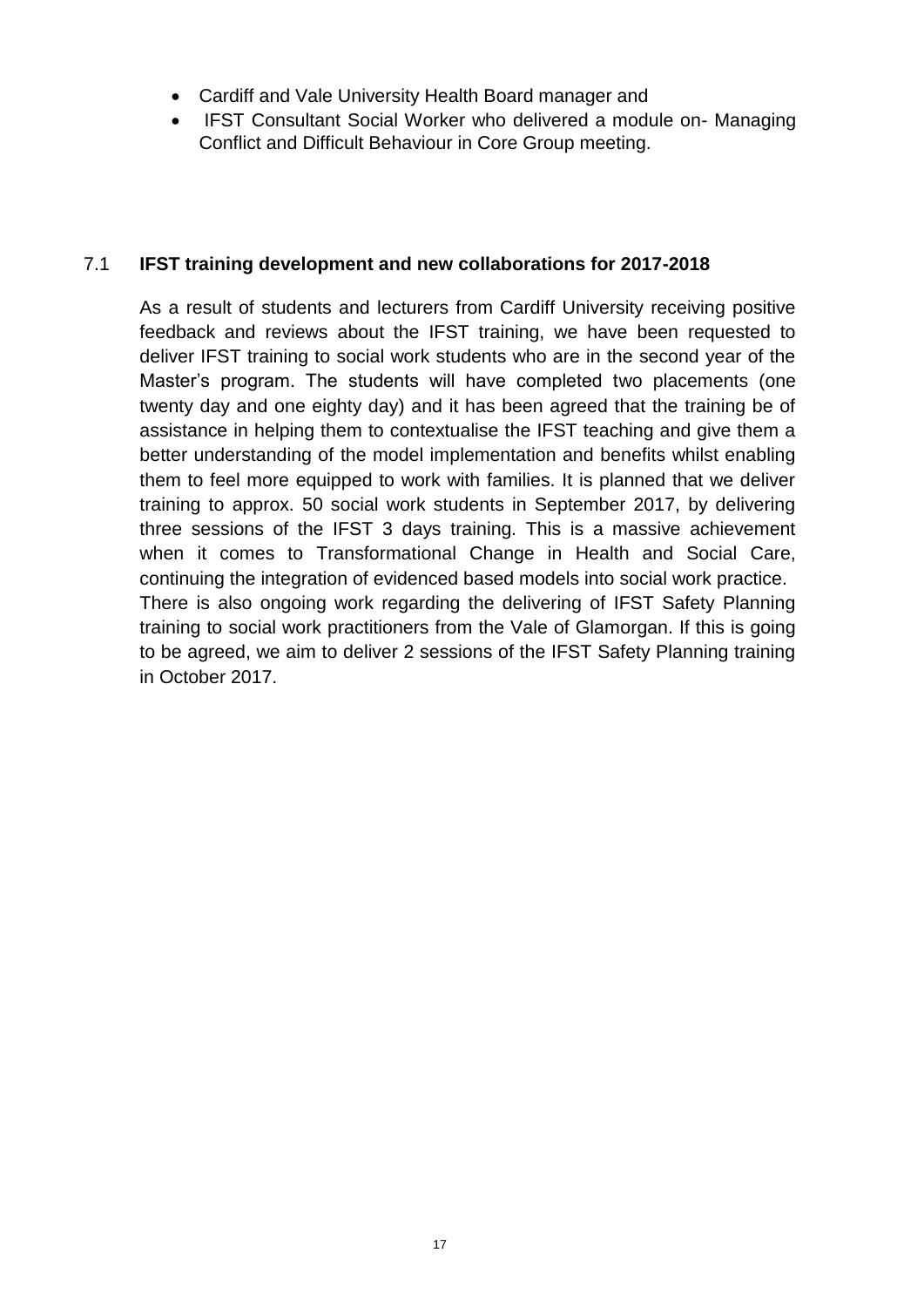- Cardiff and Vale University Health Board manager and
- IFST Consultant Social Worker who delivered a module on- Managing Conflict and Difficult Behaviour in Core Group meeting.

### 7.1 **IFST training development and new collaborations for 2017-2018**

As a result of students and lecturers from Cardiff University receiving positive feedback and reviews about the IFST training, we have been requested to deliver IFST training to social work students who are in the second year of the Master's program. The students will have completed two placements (one twenty day and one eighty day) and it has been agreed that the training be of assistance in helping them to contextualise the IFST teaching and give them a better understanding of the model implementation and benefits whilst enabling them to feel more equipped to work with families. It is planned that we deliver training to approx. 50 social work students in September 2017, by delivering three sessions of the IFST 3 days training. This is a massive achievement when it comes to Transformational Change in Health and Social Care, continuing the integration of evidenced based models into social work practice. There is also ongoing work regarding the delivering of IFST Safety Planning training to social work practitioners from the Vale of Glamorgan. If this is going to be agreed, we aim to deliver 2 sessions of the IFST Safety Planning training in October 2017.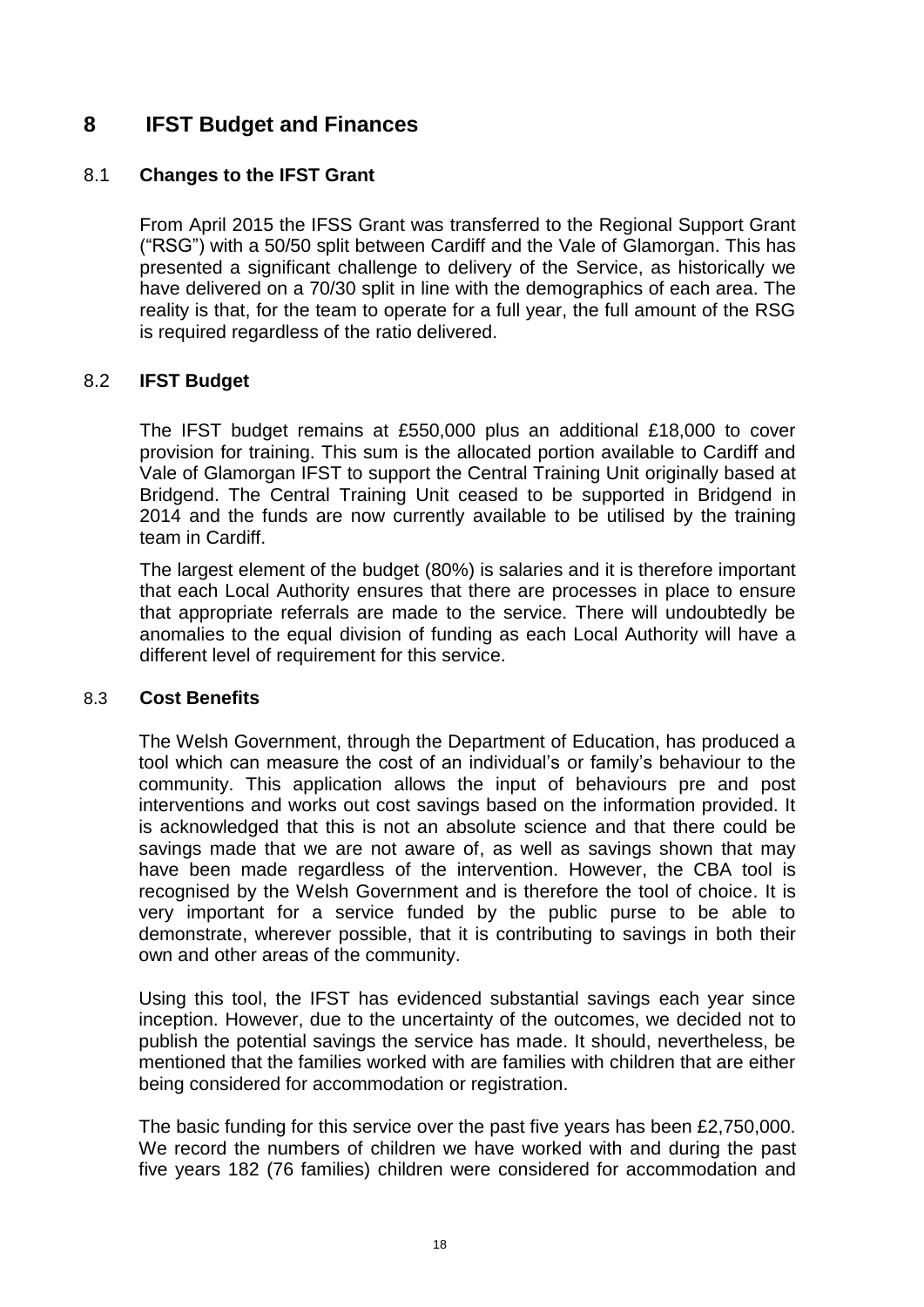## **8 IFST Budget and Finances**

### 8.1 **Changes to the IFST Grant**

From April 2015 the IFSS Grant was transferred to the Regional Support Grant ("RSG") with a 50/50 split between Cardiff and the Vale of Glamorgan. This has presented a significant challenge to delivery of the Service, as historically we have delivered on a 70/30 split in line with the demographics of each area. The reality is that, for the team to operate for a full year, the full amount of the RSG is required regardless of the ratio delivered.

### 8.2 **IFST Budget**

The IFST budget remains at £550,000 plus an additional £18,000 to cover provision for training. This sum is the allocated portion available to Cardiff and Vale of Glamorgan IFST to support the Central Training Unit originally based at Bridgend. The Central Training Unit ceased to be supported in Bridgend in 2014 and the funds are now currently available to be utilised by the training team in Cardiff.

The largest element of the budget (80%) is salaries and it is therefore important that each Local Authority ensures that there are processes in place to ensure that appropriate referrals are made to the service. There will undoubtedly be anomalies to the equal division of funding as each Local Authority will have a different level of requirement for this service.

### 8.3 **Cost Benefits**

The Welsh Government, through the Department of Education, has produced a tool which can measure the cost of an individual's or family's behaviour to the community. This application allows the input of behaviours pre and post interventions and works out cost savings based on the information provided. It is acknowledged that this is not an absolute science and that there could be savings made that we are not aware of, as well as savings shown that may have been made regardless of the intervention. However, the CBA tool is recognised by the Welsh Government and is therefore the tool of choice. It is very important for a service funded by the public purse to be able to demonstrate, wherever possible, that it is contributing to savings in both their own and other areas of the community.

Using this tool, the IFST has evidenced substantial savings each year since inception. However, due to the uncertainty of the outcomes, we decided not to publish the potential savings the service has made. It should, nevertheless, be mentioned that the families worked with are families with children that are either being considered for accommodation or registration.

The basic funding for this service over the past five years has been £2,750,000. We record the numbers of children we have worked with and during the past five years 182 (76 families) children were considered for accommodation and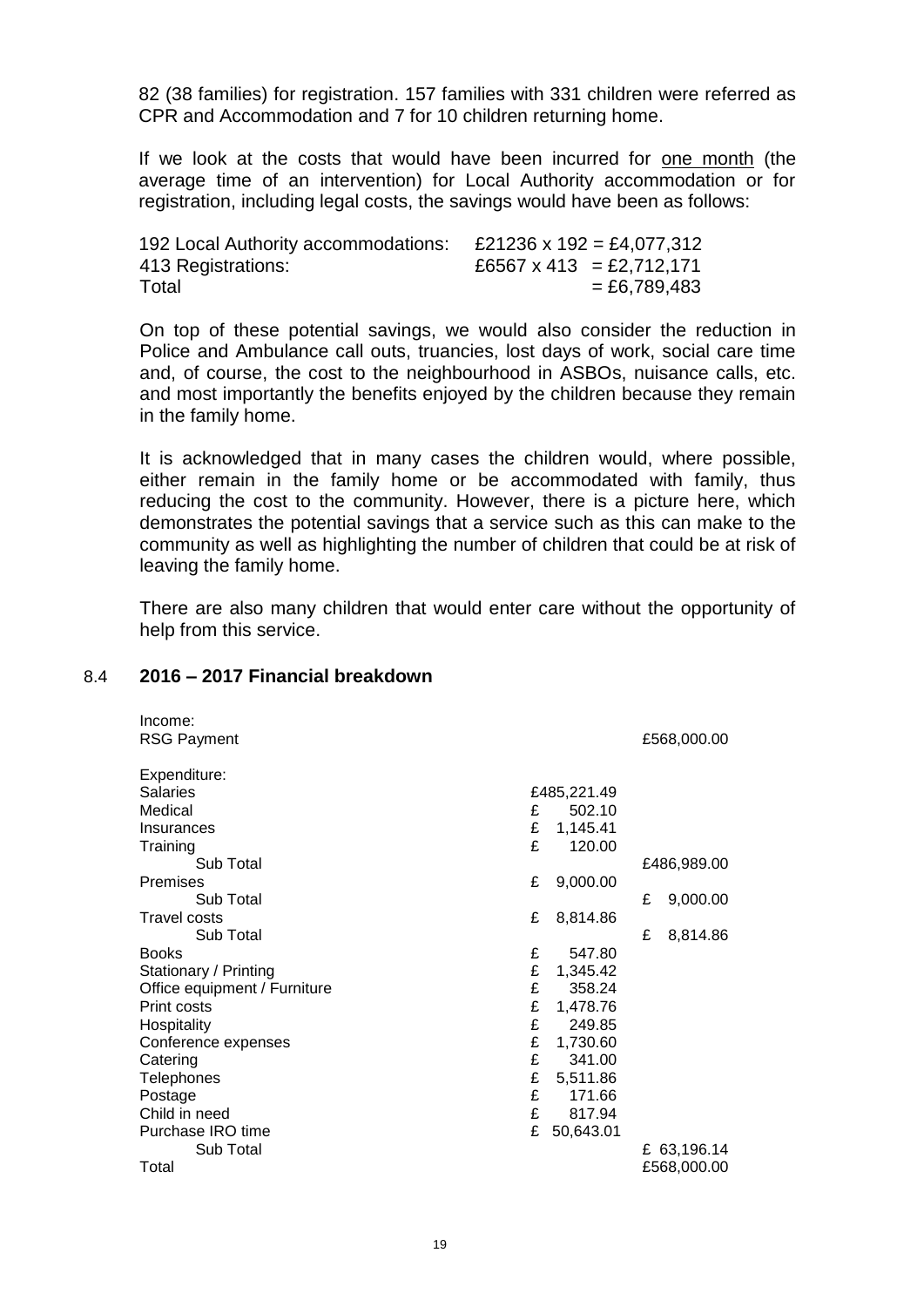82 (38 families) for registration. 157 families with 331 children were referred as CPR and Accommodation and 7 for 10 children returning home.

If we look at the costs that would have been incurred for one month (the average time of an intervention) for Local Authority accommodation or for registration, including legal costs, the savings would have been as follows:

| 192 Local Authority accommodations: | £21236 x 192 = £4,077,312   |
|-------------------------------------|-----------------------------|
| 413 Registrations:                  | £6567 x 413 = £2,712,171    |
| Total                               | $= \text{\pounds}6.789.483$ |

On top of these potential savings, we would also consider the reduction in Police and Ambulance call outs, truancies, lost days of work, social care time and, of course, the cost to the neighbourhood in ASBOs, nuisance calls, etc. and most importantly the benefits enjoyed by the children because they remain in the family home.

It is acknowledged that in many cases the children would, where possible, either remain in the family home or be accommodated with family, thus reducing the cost to the community. However, there is a picture here, which demonstrates the potential savings that a service such as this can make to the community as well as highlighting the number of children that could be at risk of leaving the family home.

There are also many children that would enter care without the opportunity of help from this service.

### 8.4 **2016 – 2017 Financial breakdown**

| Income:<br><b>RSG Payment</b> |   |             |   | £568,000.00 |
|-------------------------------|---|-------------|---|-------------|
| Expenditure:                  |   |             |   |             |
| <b>Salaries</b>               |   | £485,221.49 |   |             |
| Medical                       | £ | 502.10      |   |             |
| Insurances                    | £ | 1,145.41    |   |             |
| Training                      | £ | 120.00      |   |             |
| Sub Total                     |   |             |   | £486,989.00 |
| Premises                      | £ | 9,000.00    |   |             |
| Sub Total                     |   |             | £ | 9,000.00    |
| <b>Travel costs</b>           | £ | 8,814.86    |   |             |
| Sub Total                     |   |             | £ | 8,814.86    |
| <b>Books</b>                  | £ | 547.80      |   |             |
| Stationary / Printing         | £ | 1,345.42    |   |             |
| Office equipment / Furniture  | £ | 358.24      |   |             |
| Print costs                   | £ | 1,478.76    |   |             |
| Hospitality                   | £ | 249.85      |   |             |
| Conference expenses           | £ | 1,730.60    |   |             |
| Catering                      | £ | 341.00      |   |             |
| Telephones                    | £ | 5,511.86    |   |             |
| Postage                       | £ | 171.66      |   |             |
| Child in need                 | £ | 817.94      |   |             |
| Purchase IRO time             | £ | 50,643.01   |   |             |
| Sub Total                     |   |             |   | £ 63,196.14 |
| Total                         |   |             |   | £568,000.00 |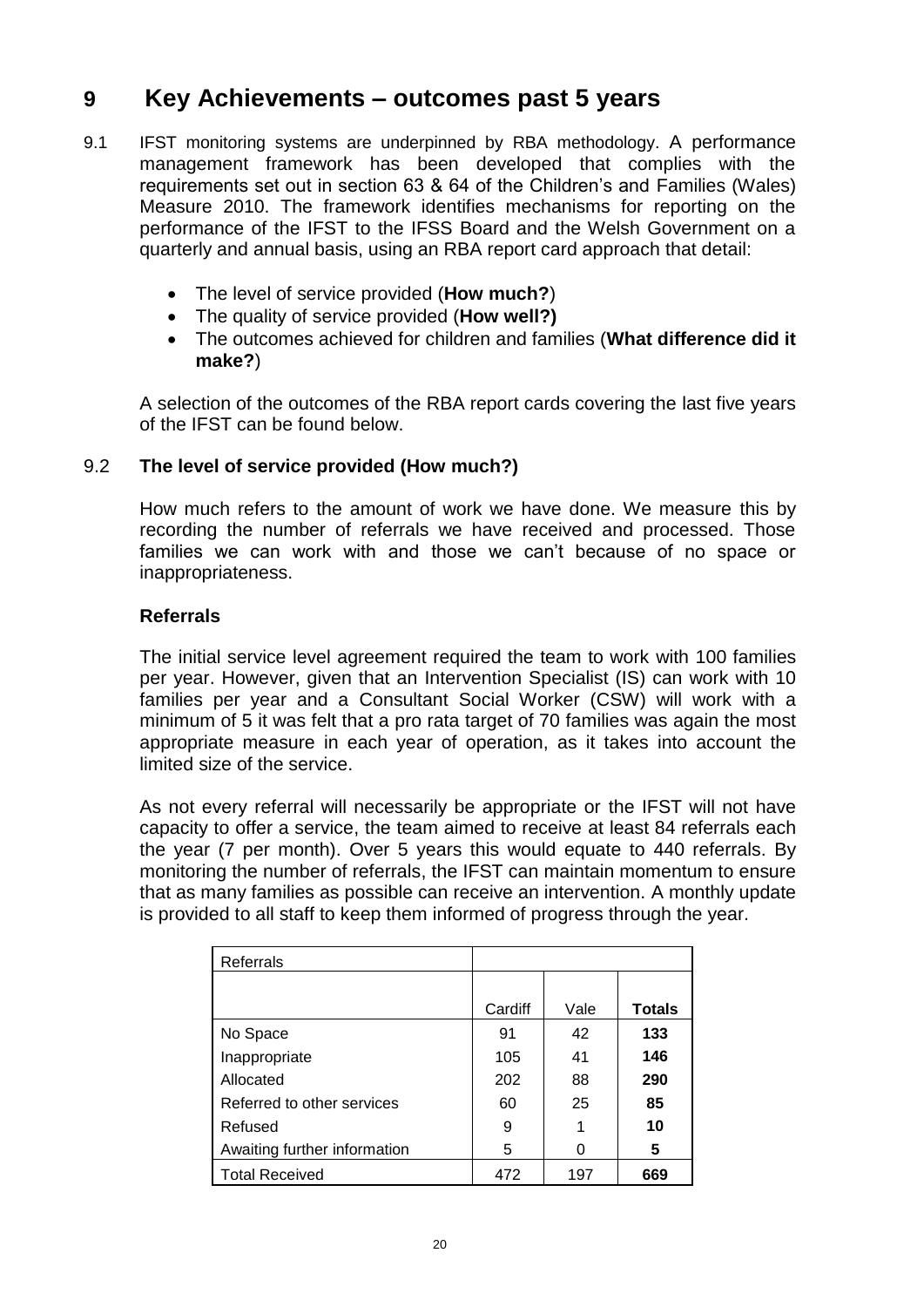## **9 Key Achievements – outcomes past 5 years**

- 9.1 IFST monitoring systems are underpinned by RBA methodology. A performance management framework has been developed that complies with the requirements set out in section 63 & 64 of the Children's and Families (Wales) Measure 2010. The framework identifies mechanisms for reporting on the performance of the IFST to the IFSS Board and the Welsh Government on a quarterly and annual basis, using an RBA report card approach that detail:
	- The level of service provided (**How much?**)
	- The quality of service provided (**How well?)**
	- The outcomes achieved for children and families (**What difference did it make?**)

A selection of the outcomes of the RBA report cards covering the last five years of the IFST can be found below.

### 9.2 **The level of service provided (How much?)**

How much refers to the amount of work we have done. We measure this by recording the number of referrals we have received and processed. Those families we can work with and those we can't because of no space or inappropriateness.

### **Referrals**

The initial service level agreement required the team to work with 100 families per year. However, given that an Intervention Specialist (IS) can work with 10 families per year and a Consultant Social Worker (CSW) will work with a minimum of 5 it was felt that a pro rata target of 70 families was again the most appropriate measure in each year of operation, as it takes into account the limited size of the service.

As not every referral will necessarily be appropriate or the IFST will not have capacity to offer a service, the team aimed to receive at least 84 referrals each the year (7 per month). Over 5 years this would equate to 440 referrals. By monitoring the number of referrals, the IFST can maintain momentum to ensure that as many families as possible can receive an intervention. A monthly update is provided to all staff to keep them informed of progress through the year.

| Referrals                    |         |      |               |
|------------------------------|---------|------|---------------|
|                              |         |      |               |
|                              | Cardiff | Vale | <b>Totals</b> |
| No Space                     | 91      | 42   | 133           |
| Inappropriate                | 105     | 41   | 146           |
| Allocated                    | 202     | 88   | 290           |
| Referred to other services   | 60      | 25   | 85            |
| Refused                      | 9       |      | 10            |
| Awaiting further information | 5       | 0    | 5             |
| <b>Total Received</b>        | 472     | 197  | 669           |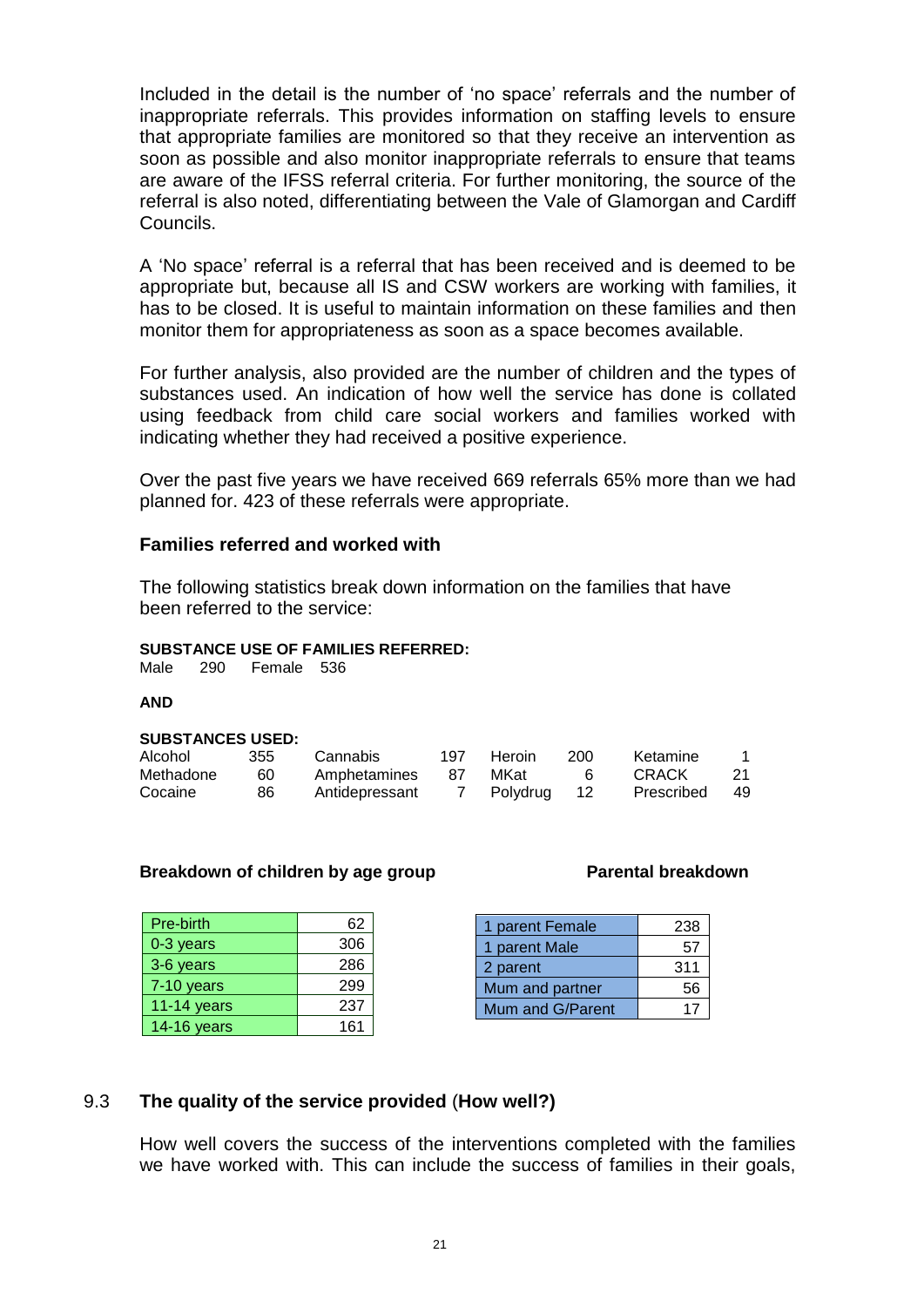Included in the detail is the number of 'no space' referrals and the number of inappropriate referrals. This provides information on staffing levels to ensure that appropriate families are monitored so that they receive an intervention as soon as possible and also monitor inappropriate referrals to ensure that teams are aware of the IFSS referral criteria. For further monitoring, the source of the referral is also noted, differentiating between the Vale of Glamorgan and Cardiff Councils.

A 'No space' referral is a referral that has been received and is deemed to be appropriate but, because all IS and CSW workers are working with families, it has to be closed. It is useful to maintain information on these families and then monitor them for appropriateness as soon as a space becomes available.

For further analysis, also provided are the number of children and the types of substances used. An indication of how well the service has done is collated using feedback from child care social workers and families worked with indicating whether they had received a positive experience.

Over the past five years we have received 669 referrals 65% more than we had planned for. 423 of these referrals were appropriate.

### **Families referred and worked with**

The following statistics break down information on the families that have been referred to the service:

### **SUBSTANCE USE OF FAMILIES REFERRED:**

Male 290 Female 536

### **AND**

### **SUBSTANCES USED:**

| Alcohol   | 355 | Cannabis       | 197. | Heroin   | 200  | Ketamine   |     |
|-----------|-----|----------------|------|----------|------|------------|-----|
| Methadone | 60  | Amphetamines   | 87   | MKat     |      | CRACK      | 21  |
| Cocaine   | 86  | Antidepressant |      | Polydrug | - 12 | Prescribed | -49 |

### **Breakdown of children by age group entitled as a Parental breakdown**

| Pre-birth     | 62  |
|---------------|-----|
| 0-3 years     | 306 |
| 3-6 years     | 286 |
| 7-10 years    | 299 |
| $11-14$ years | 237 |
| 14-16 years   | 161 |

| 1 parent Female  | 238 |
|------------------|-----|
| 1 parent Male    | 57  |
| 2 parent         | 311 |
| Mum and partner  | 56  |
| Mum and G/Parent |     |

### 9.3 **The quality of the service provided** (**How well?)**

How well covers the success of the interventions completed with the families we have worked with. This can include the success of families in their goals,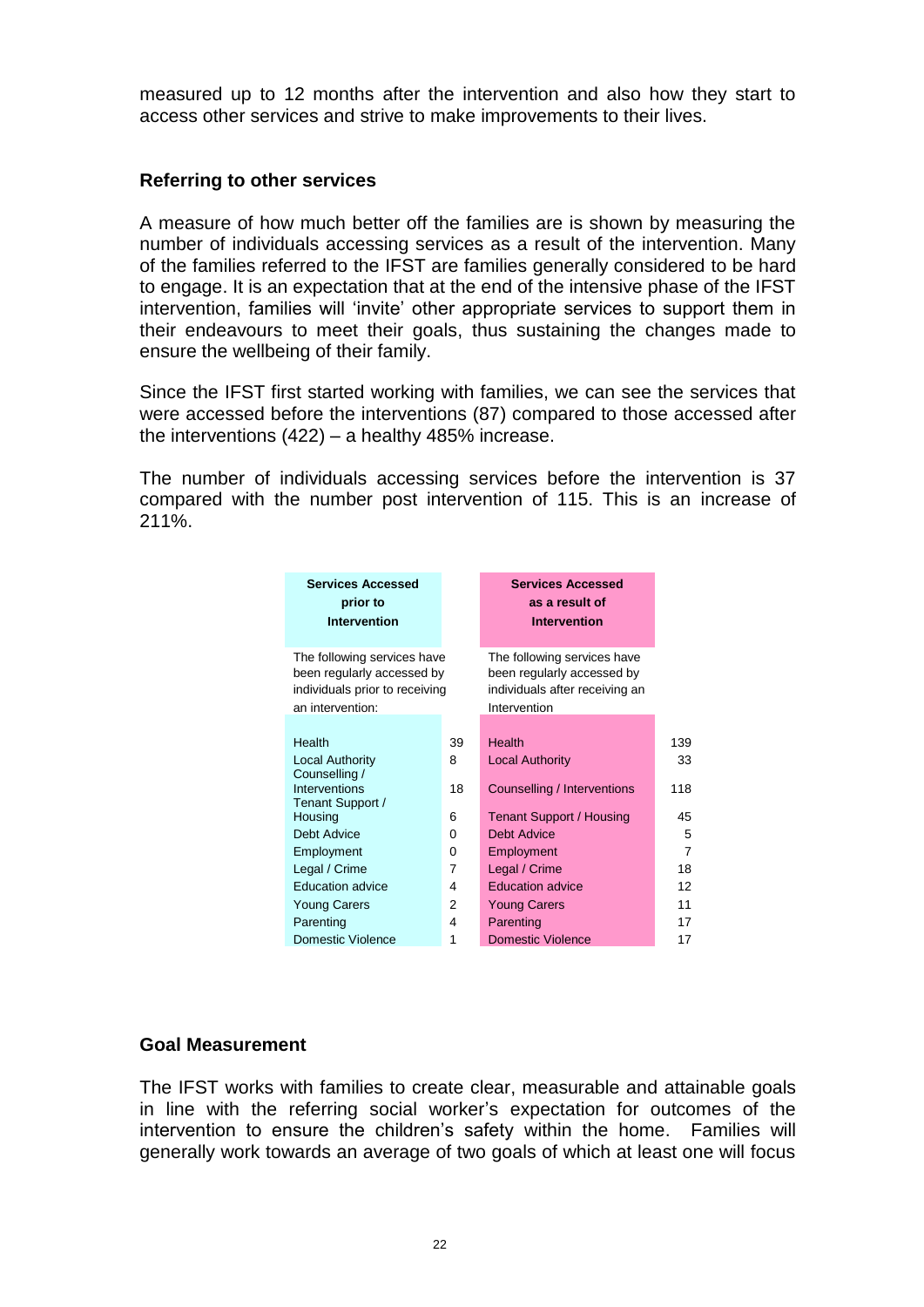measured up to 12 months after the intervention and also how they start to access other services and strive to make improvements to their lives.

### **Referring to other services**

A measure of how much better off the families are is shown by measuring the number of individuals accessing services as a result of the intervention. Many of the families referred to the IFST are families generally considered to be hard to engage. It is an expectation that at the end of the intensive phase of the IFST intervention, families will 'invite' other appropriate services to support them in their endeavours to meet their goals, thus sustaining the changes made to ensure the wellbeing of their family.

Since the IFST first started working with families, we can see the services that were accessed before the interventions (87) compared to those accessed after the interventions (422) – a healthy 485% increase.

The number of individuals accessing services before the intervention is 37 compared with the number post intervention of 115. This is an increase of 211%.

| <b>Services Accessed</b><br>prior to<br><b>Intervention</b>                                                     |    | <b>Services Accessed</b><br>as a result of<br><b>Intervention</b>                                           |     |
|-----------------------------------------------------------------------------------------------------------------|----|-------------------------------------------------------------------------------------------------------------|-----|
| The following services have<br>been regularly accessed by<br>individuals prior to receiving<br>an intervention: |    | The following services have<br>been regularly accessed by<br>individuals after receiving an<br>Intervention |     |
|                                                                                                                 |    |                                                                                                             |     |
| Health                                                                                                          | 39 | Health                                                                                                      | 139 |
| <b>Local Authority</b>                                                                                          | 8  | <b>Local Authority</b>                                                                                      | 33  |
| Counselling /                                                                                                   |    |                                                                                                             |     |
| Interventions                                                                                                   | 18 | Counselling / Interventions                                                                                 | 118 |
| Tenant Support /                                                                                                |    |                                                                                                             |     |
| Housing                                                                                                         | 6  | Tenant Support / Housing                                                                                    | 45  |
| <b>Debt Advice</b>                                                                                              | 0  | Debt Advice                                                                                                 | 5   |
| Employment                                                                                                      | 0  | Employment                                                                                                  | 7   |
| Legal / Crime                                                                                                   | 7  | Legal / Crime                                                                                               | 18  |
| <b>Education advice</b>                                                                                         | 4  | <b>Education advice</b>                                                                                     | 12  |
| <b>Young Carers</b>                                                                                             | 2  | <b>Young Carers</b>                                                                                         | 11  |
| Parenting                                                                                                       | 4  | Parenting                                                                                                   | 17  |
| Domestic Violence                                                                                               | 1  | <b>Domestic Violence</b>                                                                                    | 17  |

### **Goal Measurement**

The IFST works with families to create clear, measurable and attainable goals in line with the referring social worker's expectation for outcomes of the intervention to ensure the children's safety within the home. Families will generally work towards an average of two goals of which at least one will focus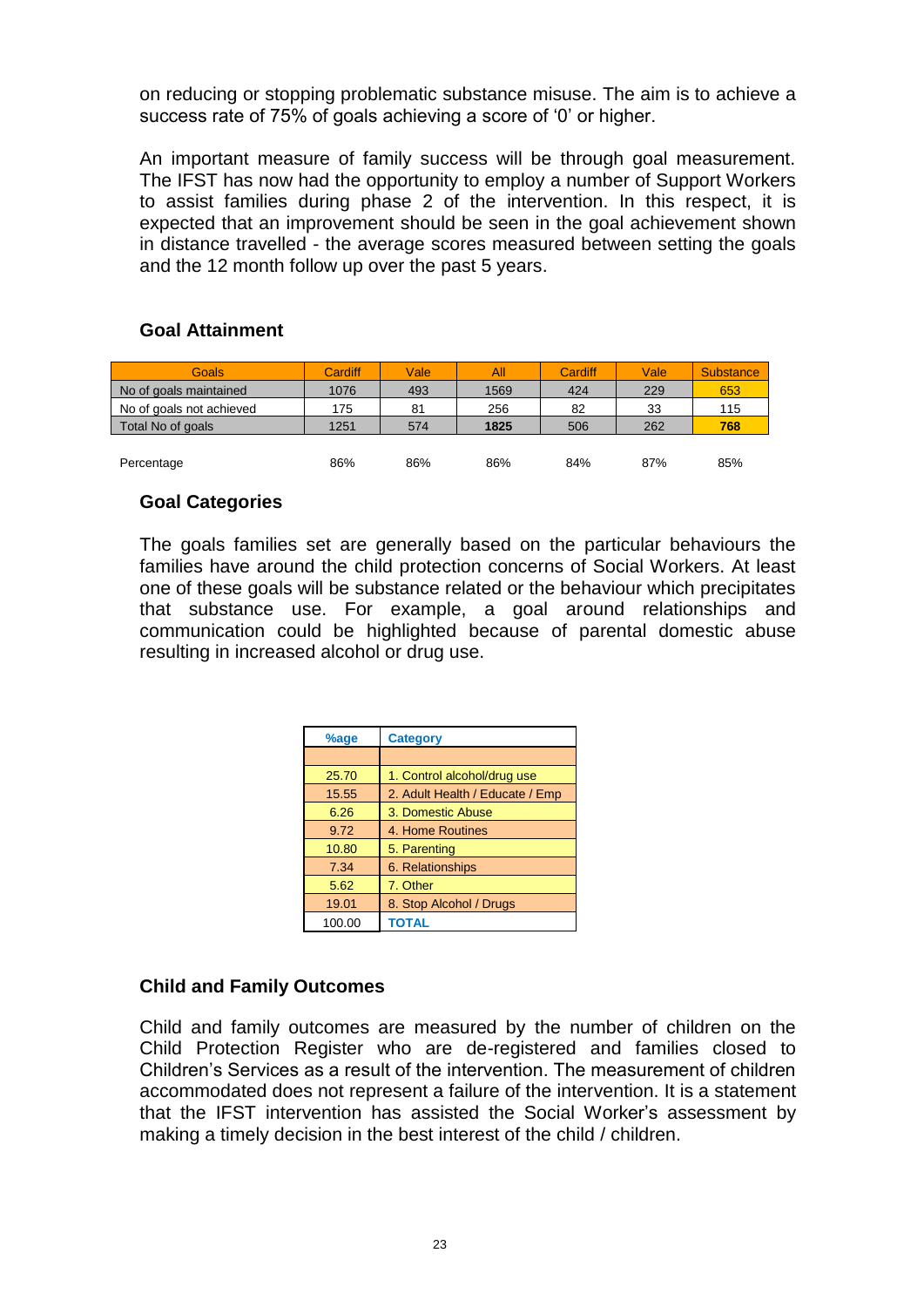on reducing or stopping problematic substance misuse. The aim is to achieve a success rate of 75% of goals achieving a score of '0' or higher.

An important measure of family success will be through goal measurement. The IFST has now had the opportunity to employ a number of Support Workers to assist families during phase 2 of the intervention. In this respect, it is expected that an improvement should be seen in the goal achievement shown in distance travelled - the average scores measured between setting the goals and the 12 month follow up over the past 5 years.

### **Goal Attainment**

| Goals                    | Cardiff | Vale | All  | Cardiff | Vale | <b>Substance</b> |
|--------------------------|---------|------|------|---------|------|------------------|
| No of goals maintained   | 1076    | 493  | 1569 | 424     | 229  | 653              |
| No of goals not achieved | 175     | 81   | 256  | 82      | 33   | 115              |
| Total No of goals        | 1251    | 574  | 1825 | 506     | 262  | 768              |
|                          |         |      |      |         |      |                  |
| Percentage               | 86%     | 86%  | 86%  | 84%     | 87%  | 85%              |

### **Goal Categories**

The goals families set are generally based on the particular behaviours the families have around the child protection concerns of Social Workers. At least one of these goals will be substance related or the behaviour which precipitates that substance use. For example, a goal around relationships and communication could be highlighted because of parental domestic abuse resulting in increased alcohol or drug use.

| %age   | <b>Category</b>                 |
|--------|---------------------------------|
|        |                                 |
| 25.70  | 1. Control alcohol/drug use     |
| 15.55  | 2. Adult Health / Educate / Emp |
| 6.26   | 3. Domestic Abuse               |
| 9.72   | 4. Home Routines                |
| 10.80  | 5. Parenting                    |
| 7.34   | 6. Relationships                |
| 5.62   | 7. Other                        |
| 19.01  | 8. Stop Alcohol / Drugs         |
| 100.00 | <b>TOTAL</b>                    |

### **Child and Family Outcomes**

Child and family outcomes are measured by the number of children on the Child Protection Register who are de-registered and families closed to Children's Services as a result of the intervention. The measurement of children accommodated does not represent a failure of the intervention. It is a statement that the IFST intervention has assisted the Social Worker's assessment by making a timely decision in the best interest of the child / children.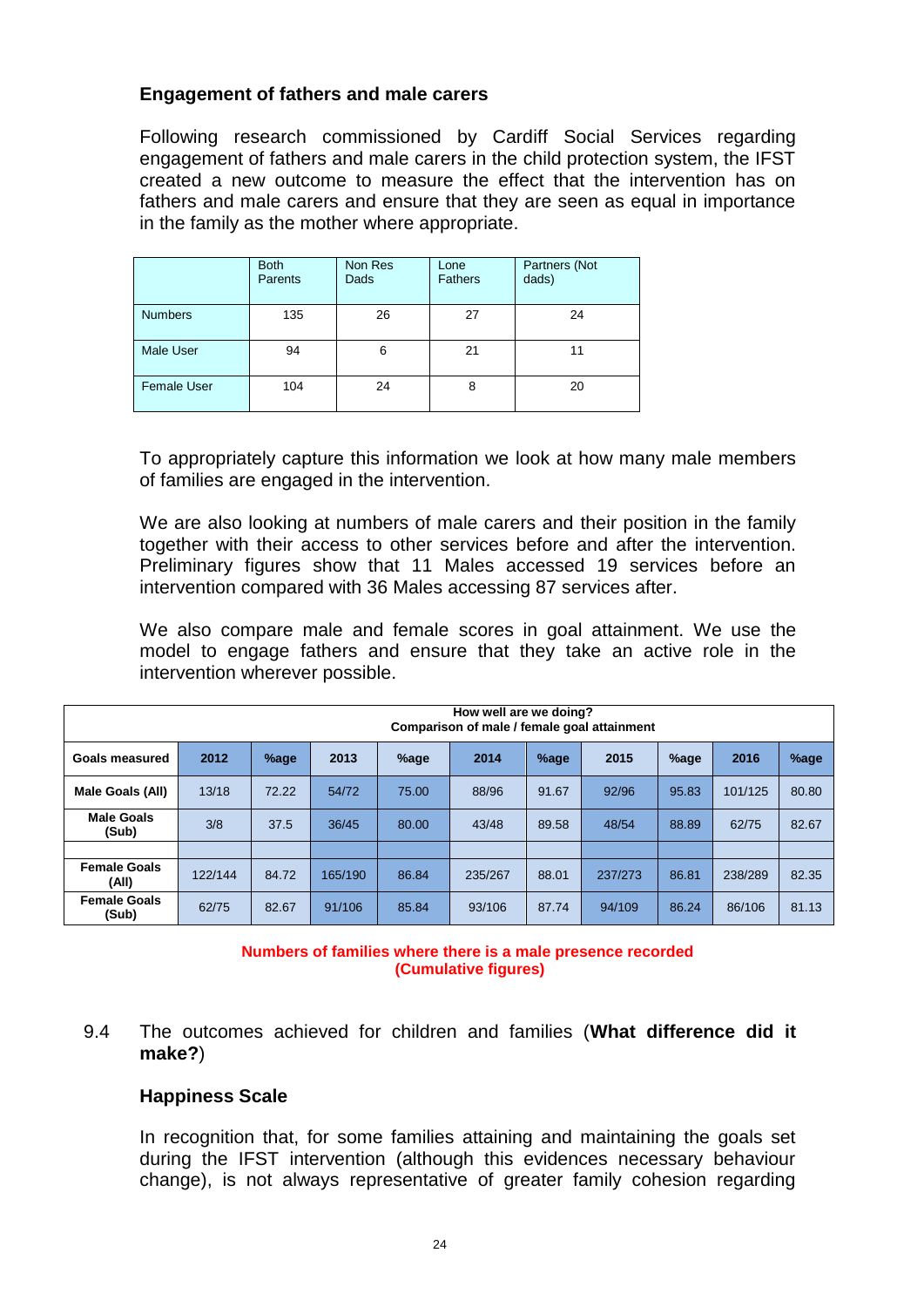### **Engagement of fathers and male carers**

Following research commissioned by Cardiff Social Services regarding engagement of fathers and male carers in the child protection system, the IFST created a new outcome to measure the effect that the intervention has on fathers and male carers and ensure that they are seen as equal in importance in the family as the mother where appropriate.

|                    | <b>Both</b><br>Parents | Non Res<br>Dads | Lone<br><b>Fathers</b> | Partners (Not<br>dads) |
|--------------------|------------------------|-----------------|------------------------|------------------------|
| <b>Numbers</b>     | 135                    | 26              | 27                     | 24                     |
| <b>Male User</b>   | 94                     | 6               | 21                     | 11                     |
| <b>Female User</b> | 104                    | 24              | 8                      | 20                     |

To appropriately capture this information we look at how many male members of families are engaged in the intervention.

We are also looking at numbers of male carers and their position in the family together with their access to other services before and after the intervention. Preliminary figures show that 11 Males accessed 19 services before an intervention compared with 36 Males accessing 87 services after.

We also compare male and female scores in goal attainment. We use the model to engage fathers and ensure that they take an active role in the intervention wherever possible.

| How well are we doing?<br>Comparison of male / female goal attainment |         |       |         |       |         |       |         |       |         |       |
|-----------------------------------------------------------------------|---------|-------|---------|-------|---------|-------|---------|-------|---------|-------|
| Goals measured                                                        | 2012    | %age  | 2013    | %age  | 2014    | %age  | 2015    | %age  | 2016    | %age  |
| Male Goals (All)                                                      | 13/18   | 72.22 | 54/72   | 75.00 | 88/96   | 91.67 | 92/96   | 95.83 | 101/125 | 80.80 |
| <b>Male Goals</b><br>(Sub)                                            | 3/8     | 37.5  | 36/45   | 80.00 | 43/48   | 89.58 | 48/54   | 88.89 | 62/75   | 82.67 |
|                                                                       |         |       |         |       |         |       |         |       |         |       |
| <b>Female Goals</b><br>(All)                                          | 122/144 | 84.72 | 165/190 | 86.84 | 235/267 | 88.01 | 237/273 | 86.81 | 238/289 | 82.35 |
| <b>Female Goals</b><br>(Sub)                                          | 62/75   | 82.67 | 91/106  | 85.84 | 93/106  | 87.74 | 94/109  | 86.24 | 86/106  | 81.13 |

### **Numbers of families where there is a male presence recorded (Cumulative figures)**

9.4 The outcomes achieved for children and families (**What difference did it make?**)

### **Happiness Scale**

In recognition that, for some families attaining and maintaining the goals set during the IFST intervention (although this evidences necessary behaviour change), is not always representative of greater family cohesion regarding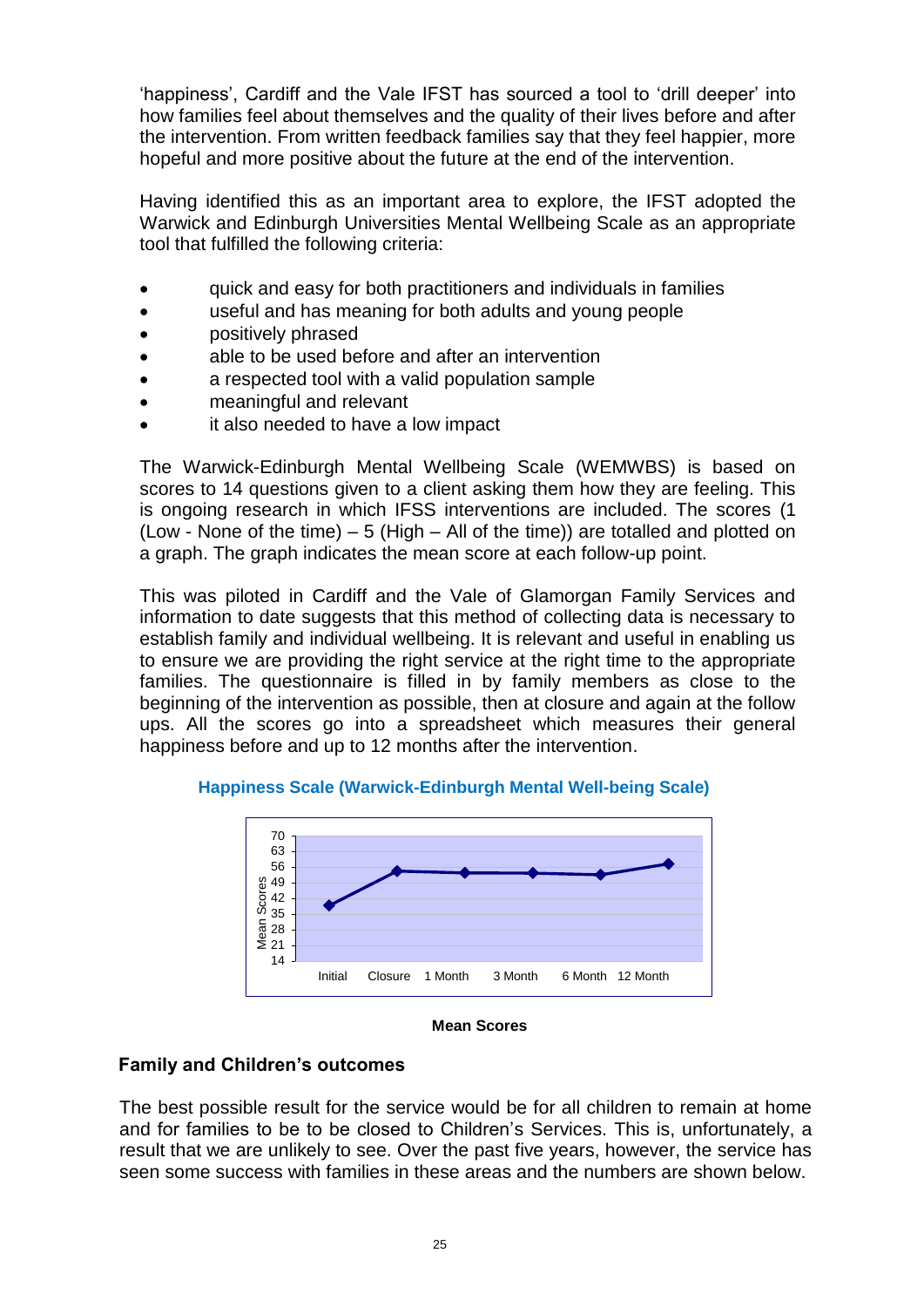'happiness', Cardiff and the Vale IFST has sourced a tool to 'drill deeper' into how families feel about themselves and the quality of their lives before and after the intervention. From written feedback families say that they feel happier, more hopeful and more positive about the future at the end of the intervention.

Having identified this as an important area to explore, the IFST adopted the Warwick and Edinburgh Universities Mental Wellbeing Scale as an appropriate tool that fulfilled the following criteria:

- quick and easy for both practitioners and individuals in families
- useful and has meaning for both adults and young people
- **• positively phrased**
- able to be used before and after an intervention
- a respected tool with a valid population sample
- meaningful and relevant
- it also needed to have a low impact

The Warwick-Edinburgh Mental Wellbeing Scale (WEMWBS) is based on scores to 14 questions given to a client asking them how they are feeling. This is ongoing research in which IFSS interventions are included. The scores (1 (Low - None of the time)  $-5$  (High  $-$  All of the time)) are totalled and plotted on a graph. The graph indicates the mean score at each follow-up point.

This was piloted in Cardiff and the Vale of Glamorgan Family Services and information to date suggests that this method of collecting data is necessary to establish family and individual wellbeing. It is relevant and useful in enabling us to ensure we are providing the right service at the right time to the appropriate families. The questionnaire is filled in by family members as close to the beginning of the intervention as possible, then at closure and again at the follow ups. All the scores go into a spreadsheet which measures their general happiness before and up to 12 months after the intervention.



**Happiness Scale (Warwick-Edinburgh Mental Well-being Scale)**

### **Mean Scores**

### **Family and Children's outcomes**

The best possible result for the service would be for all children to remain at home and for families to be to be closed to Children's Services. This is, unfortunately, a result that we are unlikely to see. Over the past five years, however, the service has seen some success with families in these areas and the numbers are shown below.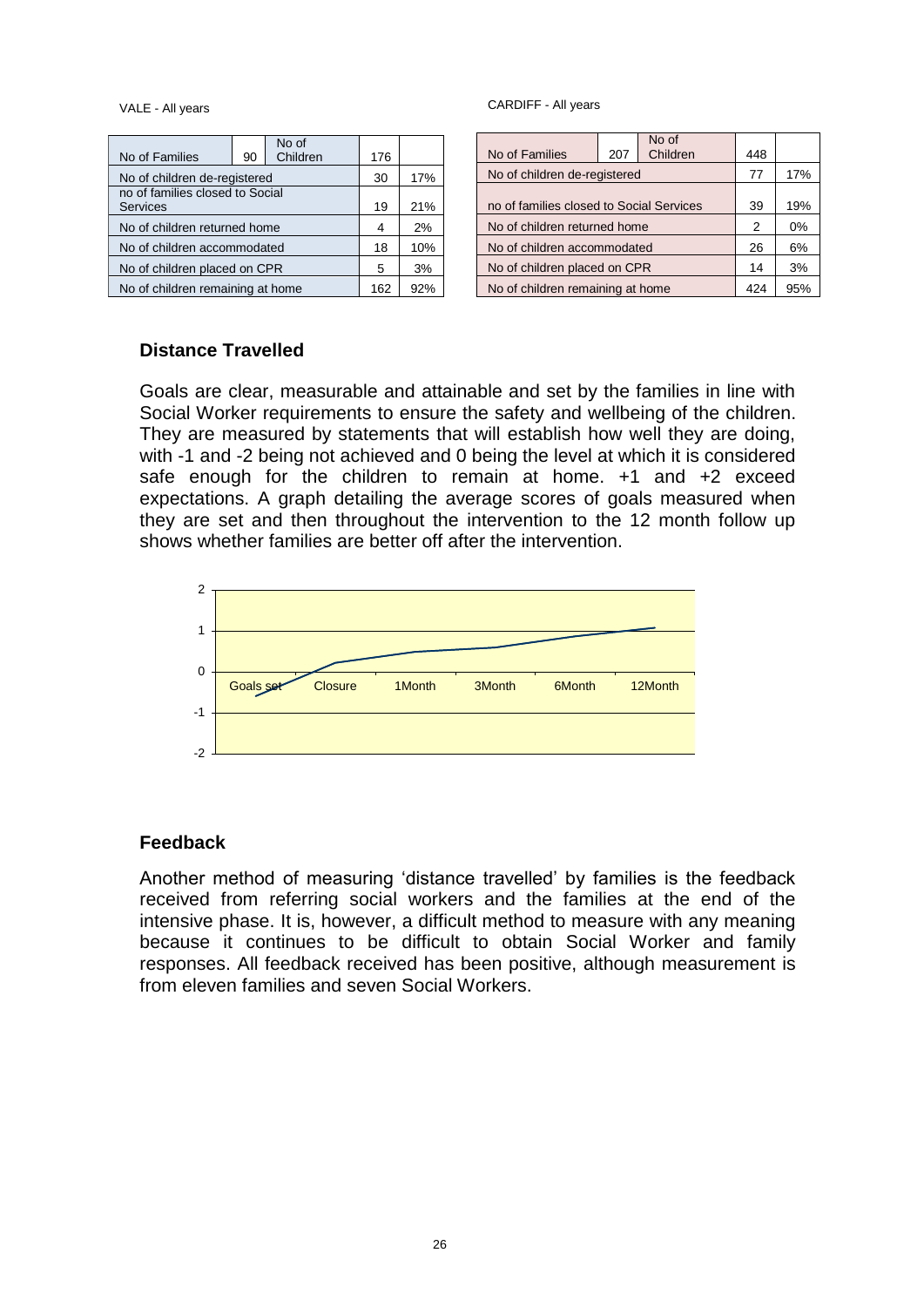VALE - All years

| No of Families                                     | 90 | No of<br>Children | 176 |     |
|----------------------------------------------------|----|-------------------|-----|-----|
| No of children de-registered                       |    |                   | 30  | 17% |
| no of families closed to Social<br><b>Services</b> |    |                   | 19  | 21% |
| No of children returned home                       |    |                   | 4   | 2%  |
| No of children accommodated                        |    |                   | 18  | 10% |
| No of children placed on CPR                       |    |                   |     | 3%  |
| No of children remaining at home                   |    |                   | 162 | 92% |

CARDIFF - All years

|                                          |                              | No of    |     |     |
|------------------------------------------|------------------------------|----------|-----|-----|
| No of Families                           | 207                          | Children | 448 |     |
|                                          | No of children de-registered |          | 77  | 17% |
| no of families closed to Social Services |                              |          |     | 19% |
| No of children returned home             |                              | 2        | 0%  |     |
| No of children accommodated              |                              | 26       | 6%  |     |
| No of children placed on CPR             |                              | 14       | 3%  |     |
| No of children remaining at home         |                              |          | 424 | 95% |

### **Distance Travelled**

Goals are clear, measurable and attainable and set by the families in line with Social Worker requirements to ensure the safety and wellbeing of the children. They are measured by statements that will establish how well they are doing, with -1 and -2 being not achieved and 0 being the level at which it is considered safe enough for the children to remain at home. +1 and +2 exceed expectations. A graph detailing the average scores of goals measured when they are set and then throughout the intervention to the 12 month follow up shows whether families are better off after the intervention.



### **Feedback**

Another method of measuring 'distance travelled' by families is the feedback received from referring social workers and the families at the end of the intensive phase. It is, however, a difficult method to measure with any meaning because it continues to be difficult to obtain Social Worker and family responses. All feedback received has been positive, although measurement is from eleven families and seven Social Workers.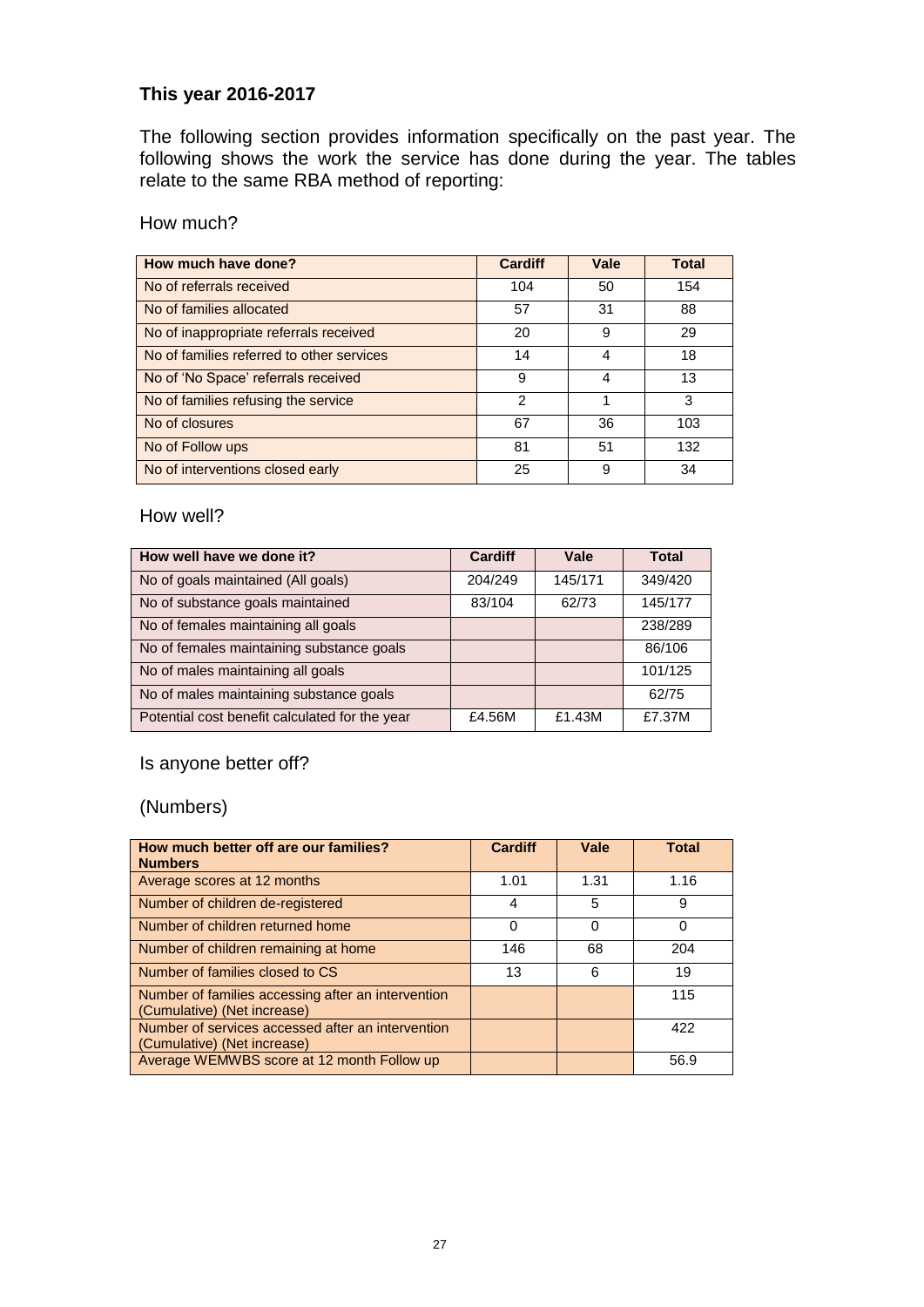### **This year 2016-2017**

The following section provides information specifically on the past year. The following shows the work the service has done during the year. The tables relate to the same RBA method of reporting:

How much?

| How much have done?                       | <b>Cardiff</b> | Vale | <b>Total</b> |
|-------------------------------------------|----------------|------|--------------|
| No of referrals received                  | 104            | 50   | 154          |
| No of families allocated                  | 57             | 31   | 88           |
| No of inappropriate referrals received    | 20             | 9    | 29           |
| No of families referred to other services | 14             | 4    | 18           |
| No of 'No Space' referrals received       | 9              | 4    | 13           |
| No of families refusing the service       | $\mathfrak{p}$ |      | 3            |
| No of closures                            | 67             | 36   | 103          |
| No of Follow ups                          | 81             | 51   | 132          |
| No of interventions closed early          | 25             | 9    | 34           |

How well?

| How well have we done it?                      | <b>Cardiff</b> | Vale    | <b>Total</b> |
|------------------------------------------------|----------------|---------|--------------|
| No of goals maintained (All goals)             | 204/249        | 145/171 | 349/420      |
| No of substance goals maintained               | 83/104         | 62/73   | 145/177      |
| No of females maintaining all goals            |                |         | 238/289      |
| No of females maintaining substance goals      |                |         | 86/106       |
| No of males maintaining all goals              |                |         | 101/125      |
| No of males maintaining substance goals        |                |         | 62/75        |
| Potential cost benefit calculated for the year | £4.56M         | £1.43M  | £7.37M       |

Is anyone better off?

(Numbers)

| How much better off are our families?<br><b>Numbers</b>                           | <b>Cardiff</b> | Vale | Total    |
|-----------------------------------------------------------------------------------|----------------|------|----------|
| Average scores at 12 months                                                       | 1.01           | 1.31 | 1.16     |
| Number of children de-registered                                                  | 4              | 5    | 9        |
| Number of children returned home                                                  | 0              | 0    | $\Omega$ |
| Number of children remaining at home                                              | 146            | 68   | 204      |
| Number of families closed to CS                                                   | 13             | 6    | 19       |
| Number of families accessing after an intervention<br>(Cumulative) (Net increase) |                |      | 115      |
| Number of services accessed after an intervention<br>(Cumulative) (Net increase)  |                |      | 422      |
| Average WEMWBS score at 12 month Follow up                                        |                |      | 56.9     |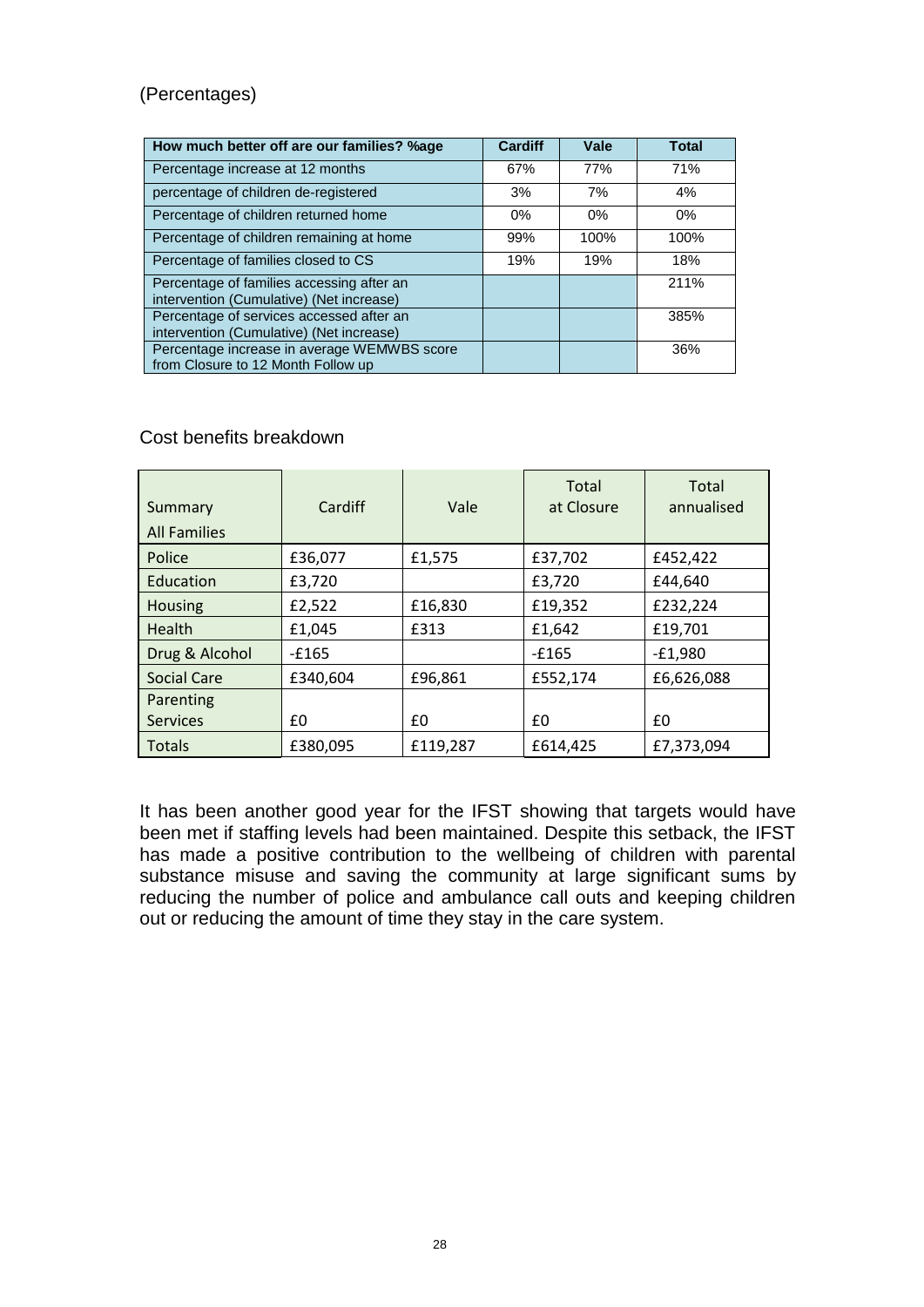### (Percentages)

| How much better off are our families? %age                                            | <b>Cardiff</b> | Vale  | <b>Total</b> |
|---------------------------------------------------------------------------------------|----------------|-------|--------------|
| Percentage increase at 12 months                                                      | 67%            | 77%   | 71%          |
| percentage of children de-registered                                                  | 3%             | 7%    | 4%           |
| Percentage of children returned home                                                  | 0%             | $0\%$ | 0%           |
| Percentage of children remaining at home                                              | 99%            | 100%  | 100%         |
| Percentage of families closed to CS                                                   | 19%            | 19%   | 18%          |
| Percentage of families accessing after an<br>intervention (Cumulative) (Net increase) |                |       | 211%         |
| Percentage of services accessed after an<br>intervention (Cumulative) (Net increase)  |                |       | 385%         |
| Percentage increase in average WEMWBS score<br>from Closure to 12 Month Follow up     |                |       | 36%          |

### Cost benefits breakdown

| Summary<br><b>All Families</b> | Cardiff  | Vale     | Total<br>at Closure | Total<br>annualised |
|--------------------------------|----------|----------|---------------------|---------------------|
| Police                         | £36,077  | £1,575   | £37,702             | £452,422            |
| Education                      | £3,720   |          | £3,720              | £44,640             |
| <b>Housing</b>                 | £2,522   | £16,830  | £19,352             | £232,224            |
| <b>Health</b>                  | £1,045   | £313     | £1,642              | £19,701             |
| Drug & Alcohol                 | $-£165$  |          | $-£165$             | $-E1,980$           |
| <b>Social Care</b>             | £340,604 | £96,861  | £552,174            | £6,626,088          |
| Parenting                      |          |          |                     |                     |
| <b>Services</b>                | £0       | £0       | £0                  | £0                  |
| <b>Totals</b>                  | £380,095 | £119,287 | £614,425            | £7,373,094          |

It has been another good year for the IFST showing that targets would have been met if staffing levels had been maintained. Despite this setback, the IFST has made a positive contribution to the wellbeing of children with parental substance misuse and saving the community at large significant sums by reducing the number of police and ambulance call outs and keeping children out or reducing the amount of time they stay in the care system.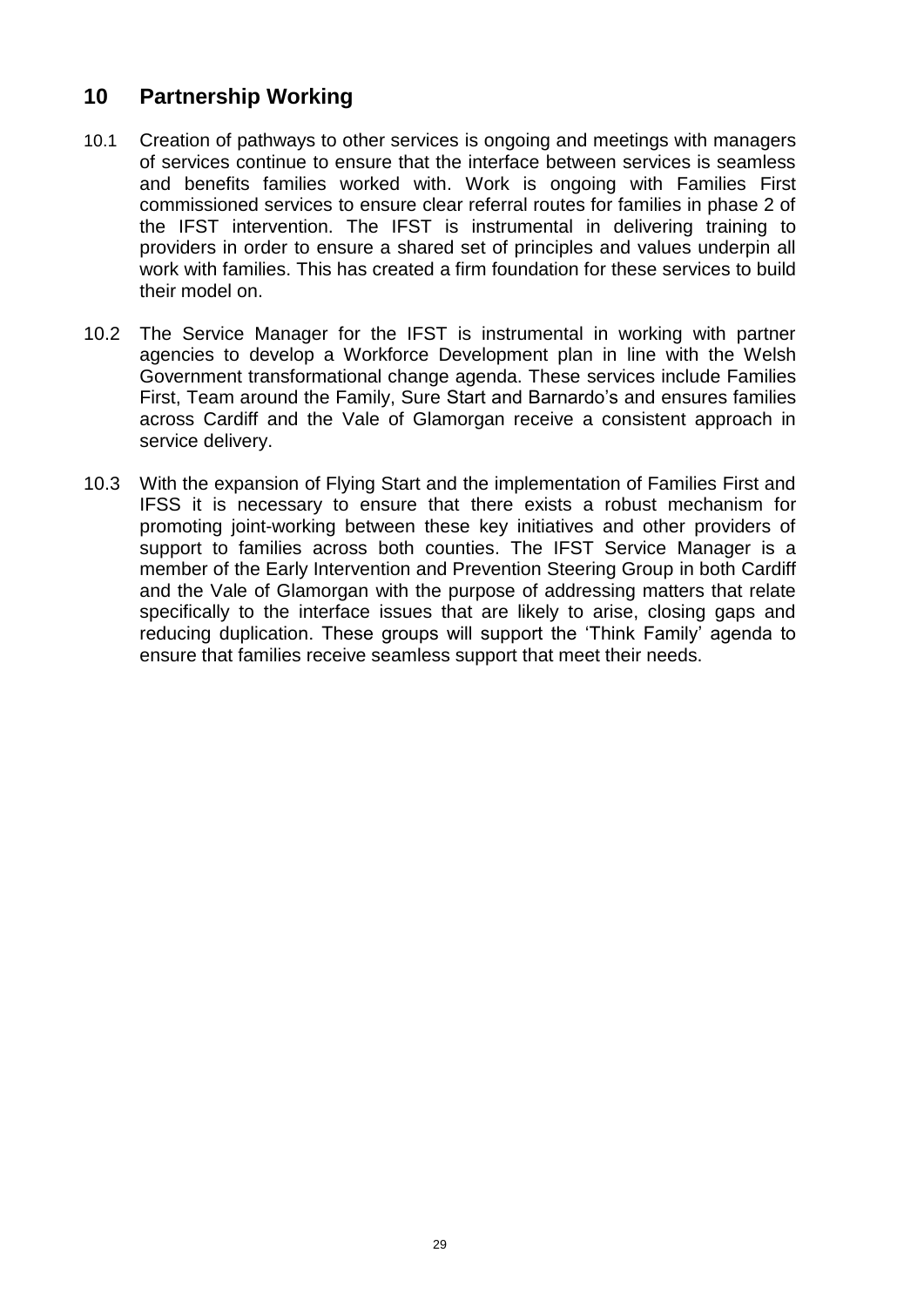## **10 Partnership Working**

- 10.1 Creation of pathways to other services is ongoing and meetings with managers of services continue to ensure that the interface between services is seamless and benefits families worked with. Work is ongoing with Families First commissioned services to ensure clear referral routes for families in phase 2 of the IFST intervention. The IFST is instrumental in delivering training to providers in order to ensure a shared set of principles and values underpin all work with families. This has created a firm foundation for these services to build their model on.
- 10.2 The Service Manager for the IFST is instrumental in working with partner agencies to develop a Workforce Development plan in line with the Welsh Government transformational change agenda. These services include Families First, Team around the Family, Sure Start and Barnardo's and ensures families across Cardiff and the Vale of Glamorgan receive a consistent approach in service delivery.
- 10.3 With the expansion of Flying Start and the implementation of Families First and IFSS it is necessary to ensure that there exists a robust mechanism for promoting joint-working between these key initiatives and other providers of support to families across both counties. The IFST Service Manager is a member of the Early Intervention and Prevention Steering Group in both Cardiff and the Vale of Glamorgan with the purpose of addressing matters that relate specifically to the interface issues that are likely to arise, closing gaps and reducing duplication. These groups will support the 'Think Family' agenda to ensure that families receive seamless support that meet their needs.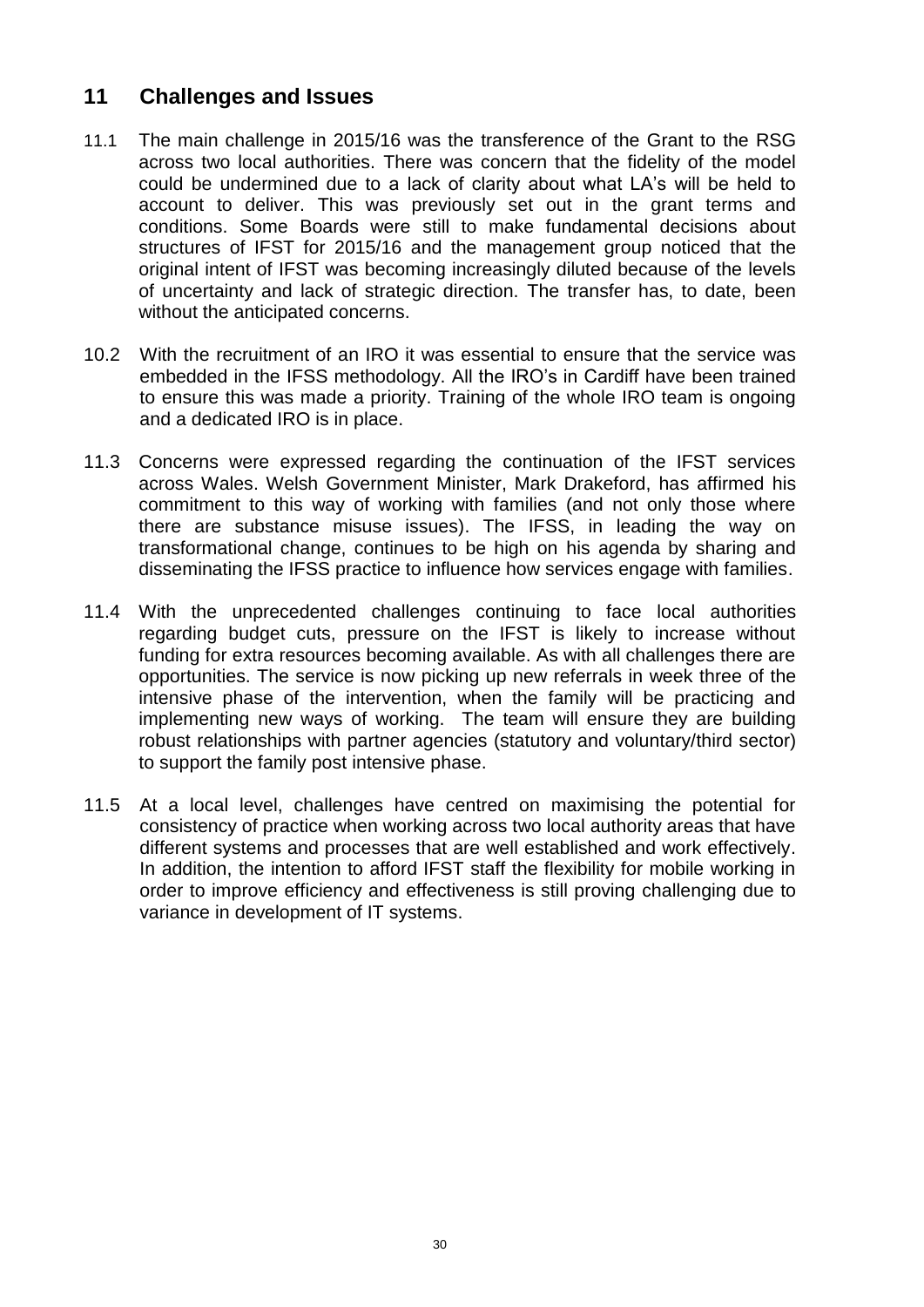## **11 Challenges and Issues**

- 11.1 The main challenge in 2015/16 was the transference of the Grant to the RSG across two local authorities. There was concern that the fidelity of the model could be undermined due to a lack of clarity about what LA's will be held to account to deliver. This was previously set out in the grant terms and conditions. Some Boards were still to make fundamental decisions about structures of IFST for 2015/16 and the management group noticed that the original intent of IFST was becoming increasingly diluted because of the levels of uncertainty and lack of strategic direction. The transfer has, to date, been without the anticipated concerns.
- 10.2 With the recruitment of an IRO it was essential to ensure that the service was embedded in the IFSS methodology. All the IRO's in Cardiff have been trained to ensure this was made a priority. Training of the whole IRO team is ongoing and a dedicated IRO is in place.
- 11.3 Concerns were expressed regarding the continuation of the IFST services across Wales. Welsh Government Minister, Mark Drakeford, has affirmed his commitment to this way of working with families (and not only those where there are substance misuse issues). The IFSS, in leading the way on transformational change, continues to be high on his agenda by sharing and disseminating the IFSS practice to influence how services engage with families.
- 11.4 With the unprecedented challenges continuing to face local authorities regarding budget cuts, pressure on the IFST is likely to increase without funding for extra resources becoming available. As with all challenges there are opportunities. The service is now picking up new referrals in week three of the intensive phase of the intervention, when the family will be practicing and implementing new ways of working. The team will ensure they are building robust relationships with partner agencies (statutory and voluntary/third sector) to support the family post intensive phase.
- 11.5 At a local level, challenges have centred on maximising the potential for consistency of practice when working across two local authority areas that have different systems and processes that are well established and work effectively. In addition, the intention to afford IFST staff the flexibility for mobile working in order to improve efficiency and effectiveness is still proving challenging due to variance in development of IT systems.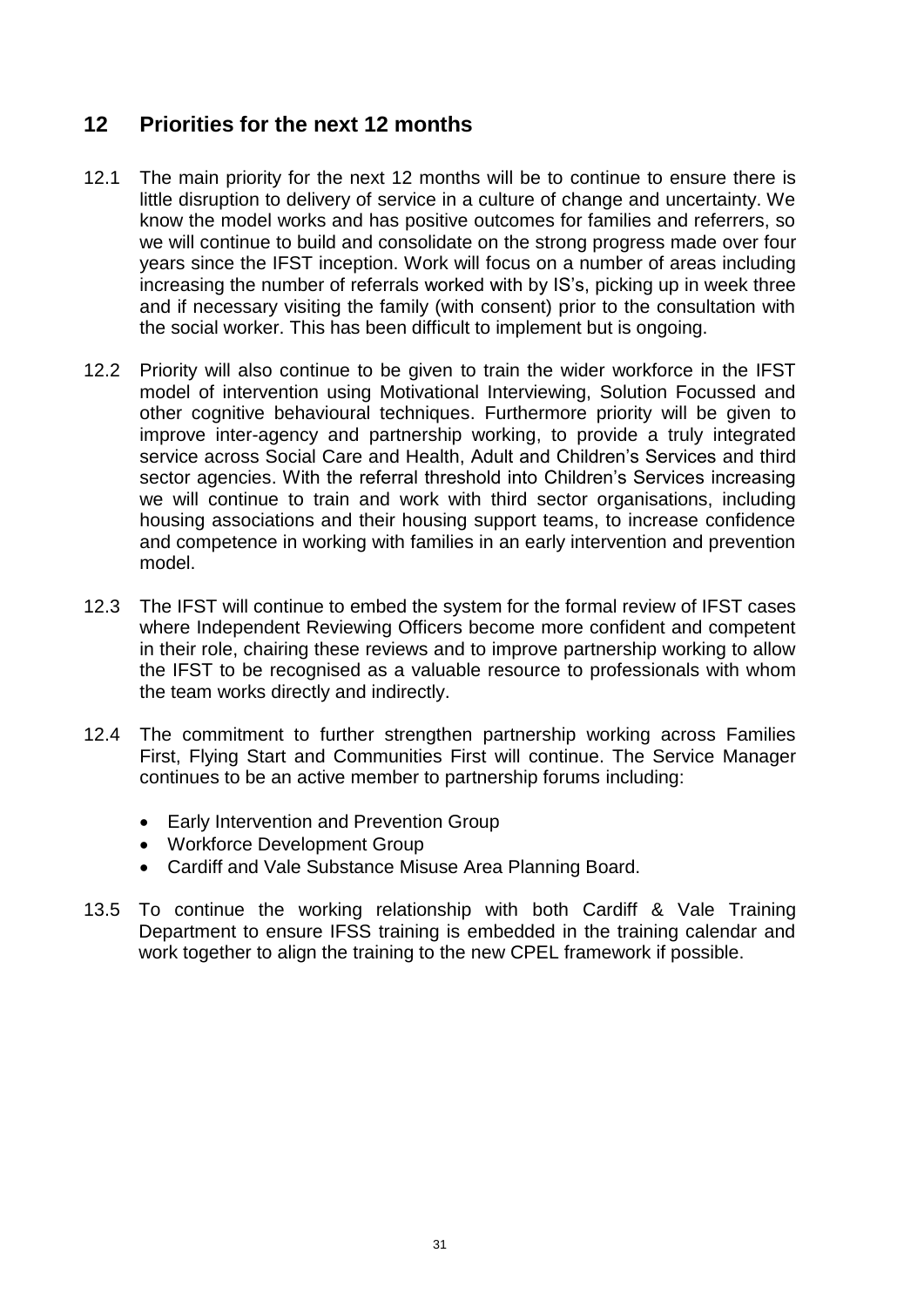## **12 Priorities for the next 12 months**

- 12.1 The main priority for the next 12 months will be to continue to ensure there is little disruption to delivery of service in a culture of change and uncertainty. We know the model works and has positive outcomes for families and referrers, so we will continue to build and consolidate on the strong progress made over four years since the IFST inception. Work will focus on a number of areas including increasing the number of referrals worked with by IS's, picking up in week three and if necessary visiting the family (with consent) prior to the consultation with the social worker. This has been difficult to implement but is ongoing.
- 12.2 Priority will also continue to be given to train the wider workforce in the IFST model of intervention using Motivational Interviewing, Solution Focussed and other cognitive behavioural techniques. Furthermore priority will be given to improve inter-agency and partnership working, to provide a truly integrated service across Social Care and Health, Adult and Children's Services and third sector agencies. With the referral threshold into Children's Services increasing we will continue to train and work with third sector organisations, including housing associations and their housing support teams, to increase confidence and competence in working with families in an early intervention and prevention model.
- 12.3 The IFST will continue to embed the system for the formal review of IFST cases where Independent Reviewing Officers become more confident and competent in their role, chairing these reviews and to improve partnership working to allow the IFST to be recognised as a valuable resource to professionals with whom the team works directly and indirectly.
- 12.4 The commitment to further strengthen partnership working across Families First, Flying Start and Communities First will continue. The Service Manager continues to be an active member to partnership forums including:
	- Early Intervention and Prevention Group
	- Workforce Development Group
	- Cardiff and Vale Substance Misuse Area Planning Board.
- 13.5 To continue the working relationship with both Cardiff & Vale Training Department to ensure IFSS training is embedded in the training calendar and work together to align the training to the new CPEL framework if possible.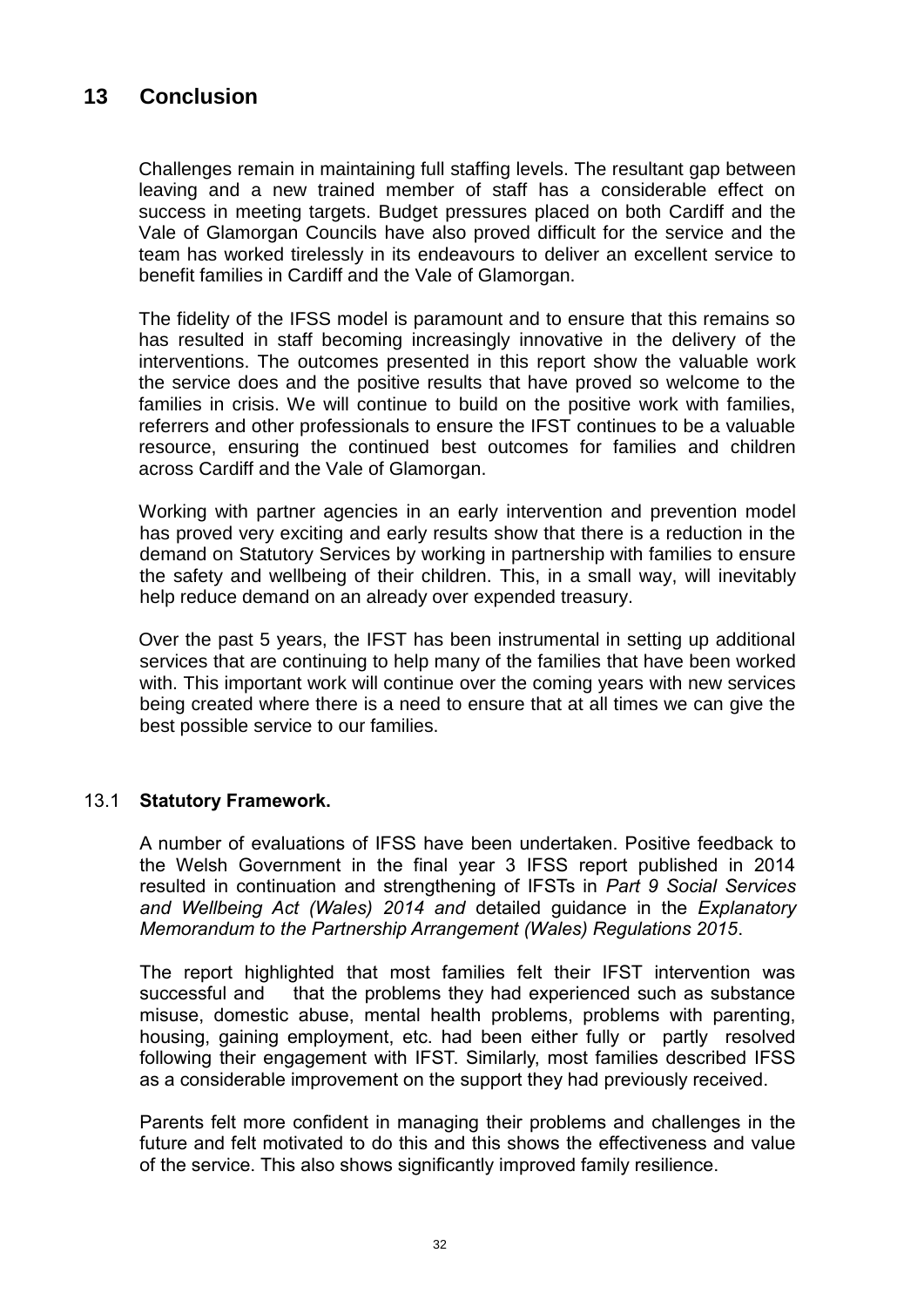## **13 Conclusion**

Challenges remain in maintaining full staffing levels. The resultant gap between leaving and a new trained member of staff has a considerable effect on success in meeting targets. Budget pressures placed on both Cardiff and the Vale of Glamorgan Councils have also proved difficult for the service and the team has worked tirelessly in its endeavours to deliver an excellent service to benefit families in Cardiff and the Vale of Glamorgan.

The fidelity of the IFSS model is paramount and to ensure that this remains so has resulted in staff becoming increasingly innovative in the delivery of the interventions. The outcomes presented in this report show the valuable work the service does and the positive results that have proved so welcome to the families in crisis. We will continue to build on the positive work with families, referrers and other professionals to ensure the IFST continues to be a valuable resource, ensuring the continued best outcomes for families and children across Cardiff and the Vale of Glamorgan.

Working with partner agencies in an early intervention and prevention model has proved very exciting and early results show that there is a reduction in the demand on Statutory Services by working in partnership with families to ensure the safety and wellbeing of their children. This, in a small way, will inevitably help reduce demand on an already over expended treasury.

Over the past 5 years, the IFST has been instrumental in setting up additional services that are continuing to help many of the families that have been worked with. This important work will continue over the coming years with new services being created where there is a need to ensure that at all times we can give the best possible service to our families.

### 13.1 **Statutory Framework.**

A number of evaluations of IFSS have been undertaken. Positive feedback to the Welsh Government in the final year 3 IFSS report published in 2014 resulted in continuation and strengthening of IFSTs in *Part 9 Social Services and Wellbeing Act (Wales) 2014 and* detailed guidance in the *Explanatory Memorandum to the Partnership Arrangement (Wales) Regulations 2015*.

The report highlighted that most families felt their IFST intervention was successful and that the problems they had experienced such as substance misuse, domestic abuse, mental health problems, problems with parenting, housing, gaining employment, etc. had been either fully or partly resolved following their engagement with IFST. Similarly, most families described IFSS as a considerable improvement on the support they had previously received.

Parents felt more confident in managing their problems and challenges in the future and felt motivated to do this and this shows the effectiveness and value of the service. This also shows significantly improved family resilience.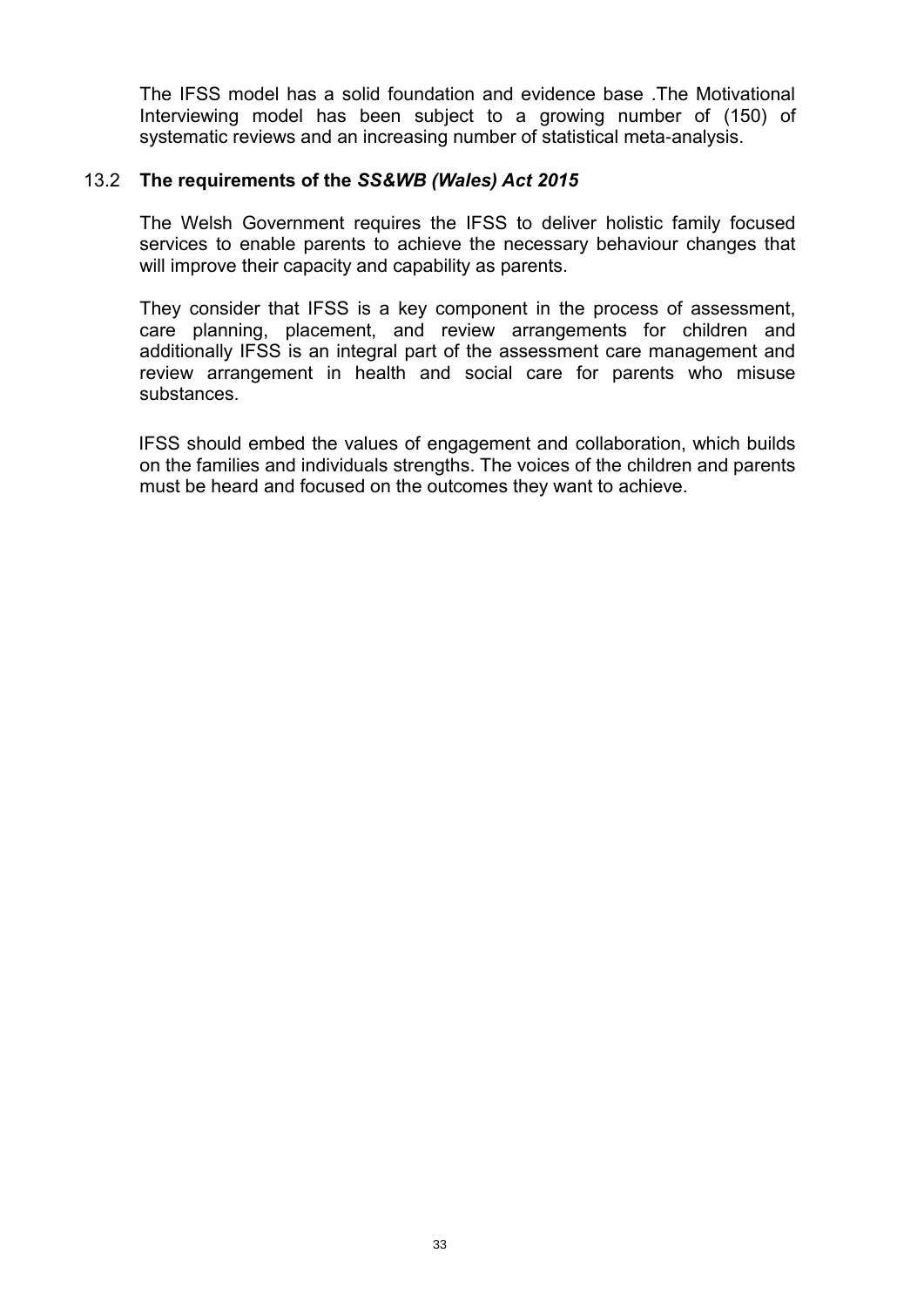The IFSS model has a solid foundation and evidence base .The Motivational Interviewing model has been subject to a growing number of (150) of systematic reviews and an increasing number of statistical meta-analysis.

### 13.2 **The requirements of the** *SS&WB (Wales) Act 2015*

The Welsh Government requires the IFSS to deliver holistic family focused services to enable parents to achieve the necessary behaviour changes that will improve their capacity and capability as parents.

They consider that IFSS is a key component in the process of assessment, care planning, placement, and review arrangements for children and additionally IFSS is an integral part of the assessment care management and review arrangement in health and social care for parents who misuse substances.

IFSS should embed the values of engagement and collaboration, which builds on the families and individuals strengths. The voices of the children and parents must be heard and focused on the outcomes they want to achieve.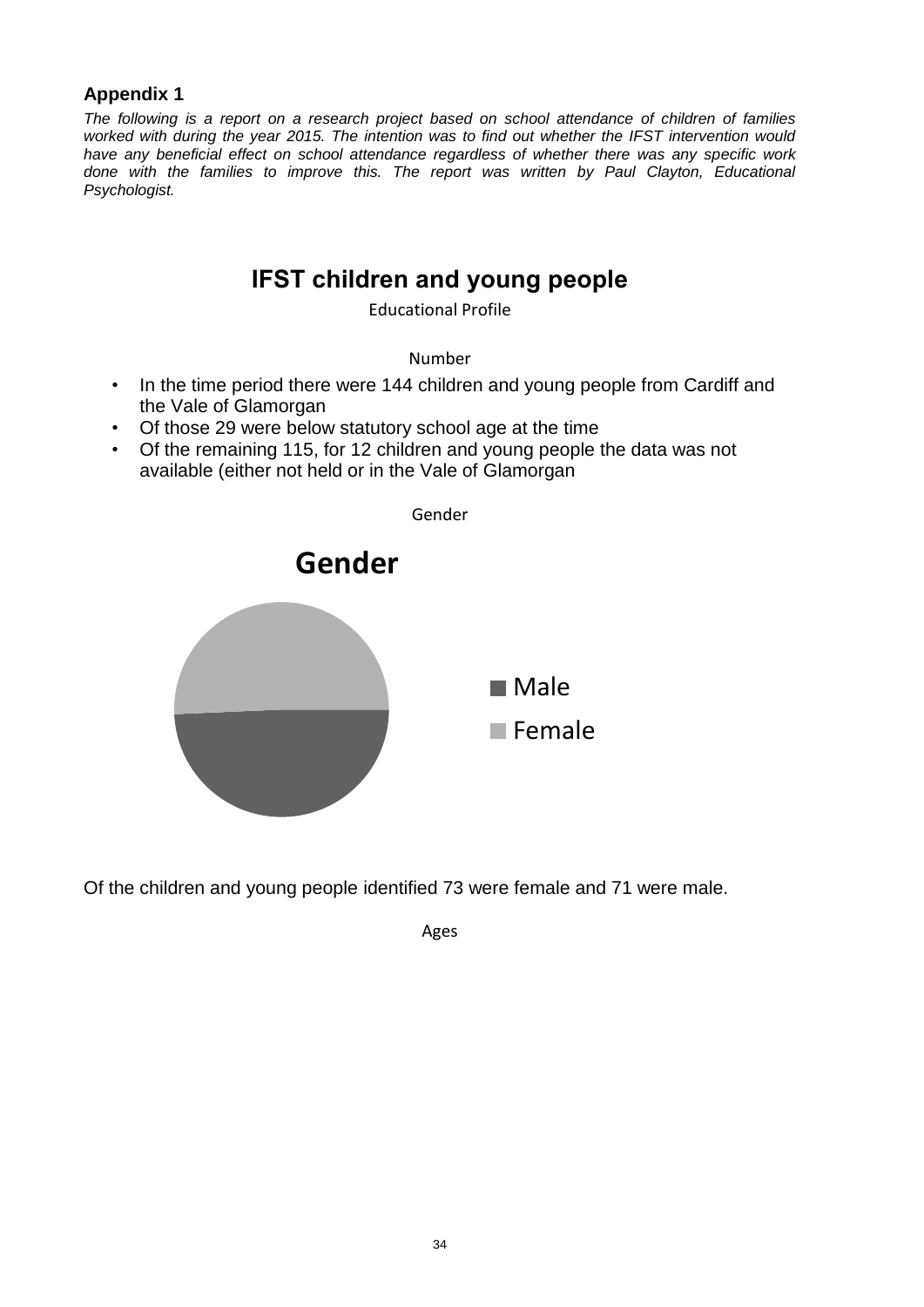### **Appendix 1**

*The following is a report on a research project based on school attendance of children of families worked with during the year 2015. The intention was to find out whether the IFST intervention would have any beneficial effect on school attendance regardless of whether there was any specific work done with the families to improve this. The report was written by Paul Clayton, Educational Psychologist.*

## **IFST children and young people**

Educational Profile

Number

- In the time period there were 144 children and young people from Cardiff and the Vale of Glamorgan
- Of those 29 were below statutory school age at the time
- Of the remaining 115, for 12 children and young people the data was not available (either not held or in the Vale of Glamorgan



Of the children and young people identified 73 were female and 71 were male.

Ages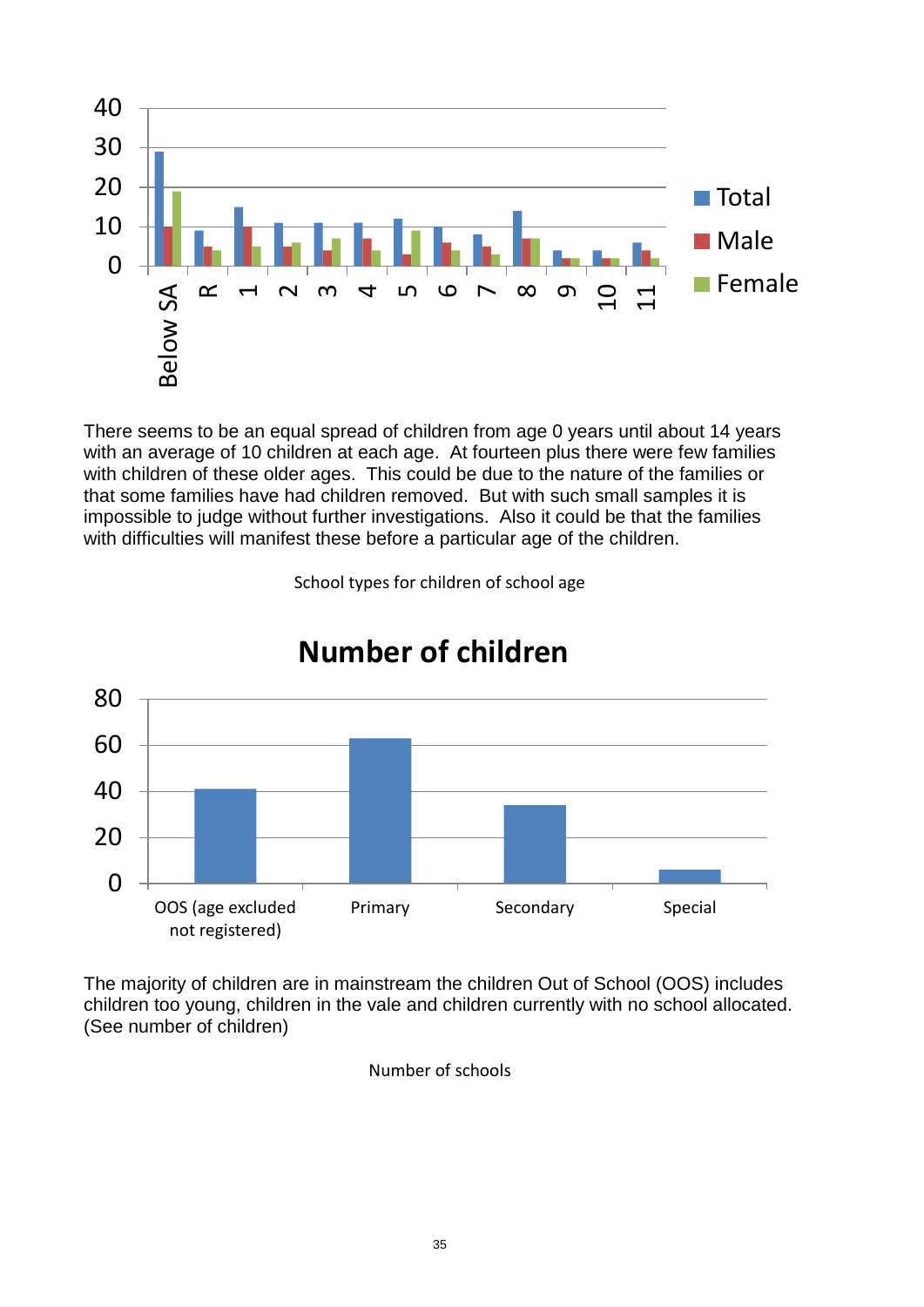

There seems to be an equal spread of children from age 0 years until about 14 years with an average of 10 children at each age. At fourteen plus there were few families with children of these older ages. This could be due to the nature of the families or that some families have had children removed. But with such small samples it is impossible to judge without further investigations. Also it could be that the families with difficulties will manifest these before a particular age of the children.

School types for children of school age



## **Number of children**

The majority of children are in mainstream the children Out of School (OOS) includes children too young, children in the vale and children currently with no school allocated. (See number of children)

Number of schools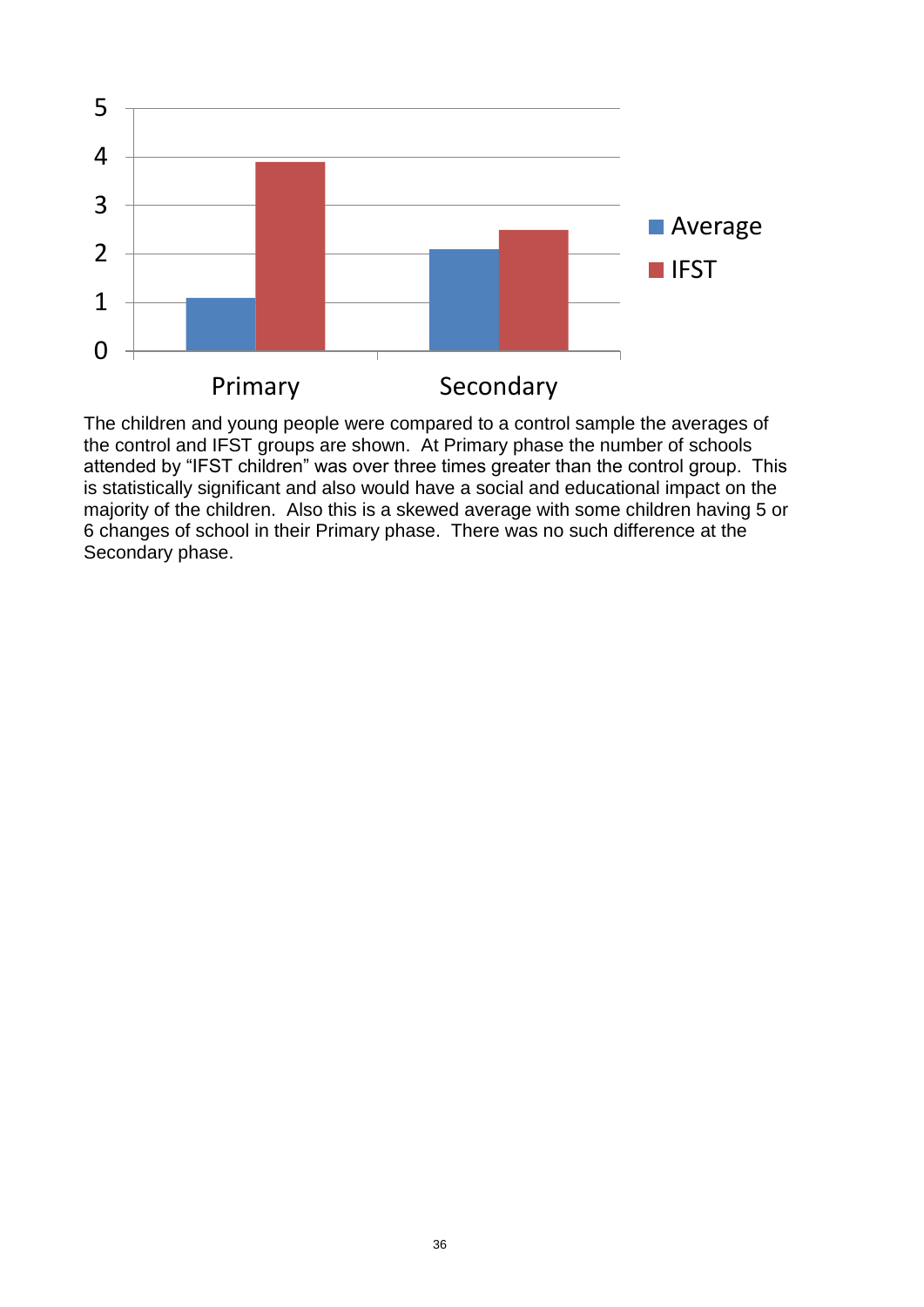

The children and young people were compared to a control sample the averages of the control and IFST groups are shown. At Primary phase the number of schools attended by "IFST children" was over three times greater than the control group. This is statistically significant and also would have a social and educational impact on the majority of the children. Also this is a skewed average with some children having 5 or 6 changes of school in their Primary phase. There was no such difference at the Secondary phase.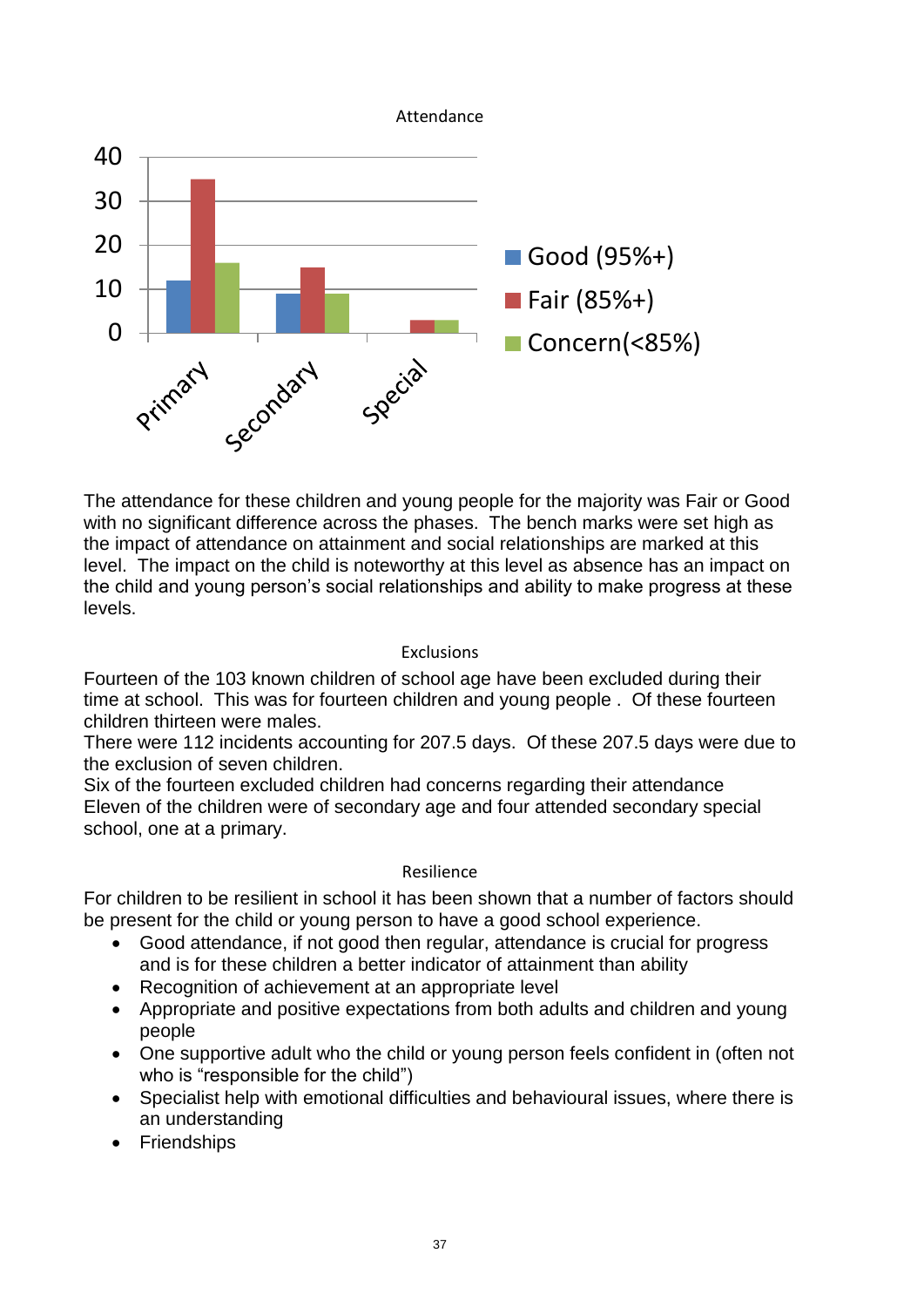

The attendance for these children and young people for the majority was Fair or Good with no significant difference across the phases. The bench marks were set high as the impact of attendance on attainment and social relationships are marked at this level. The impact on the child is noteworthy at this level as absence has an impact on the child and young person's social relationships and ability to make progress at these levels.

### Exclusions

Fourteen of the 103 known children of school age have been excluded during their time at school. This was for fourteen children and young people . Of these fourteen children thirteen were males.

There were 112 incidents accounting for 207.5 days. Of these 207.5 days were due to the exclusion of seven children.

Six of the fourteen excluded children had concerns regarding their attendance Eleven of the children were of secondary age and four attended secondary special school, one at a primary.

### Resilience

For children to be resilient in school it has been shown that a number of factors should be present for the child or young person to have a good school experience.

- Good attendance, if not good then regular, attendance is crucial for progress and is for these children a better indicator of attainment than ability
- Recognition of achievement at an appropriate level
- Appropriate and positive expectations from both adults and children and young people
- One supportive adult who the child or young person feels confident in (often not who is "responsible for the child")
- Specialist help with emotional difficulties and behavioural issues, where there is an understanding
- Friendships